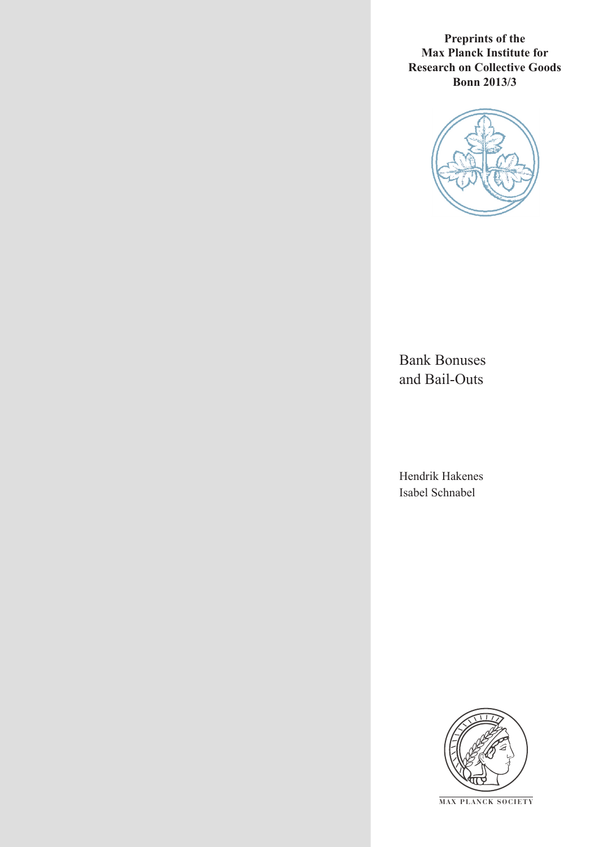**Preprints of the Max Planck Institute for Research on Collective Goods Bonn 2013/3**



Bank Bonuses and Bail-Outs

Hendrik Hakenes Isabel Schnabel



**M AX PLANCK SOCIETY**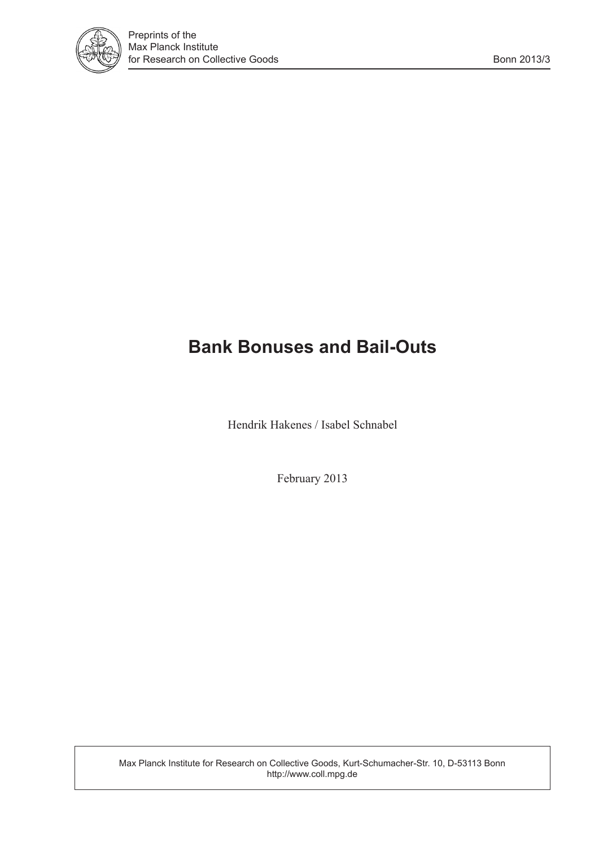

# **Bank Bonuses and Bail-Outs**

Hendrik Hakenes / Isabel Schnabel

February 2013

Max Planck Institute for Research on Collective Goods, Kurt-Schumacher-Str. 10, D-53113 Bonn http://www.coll.mpg.de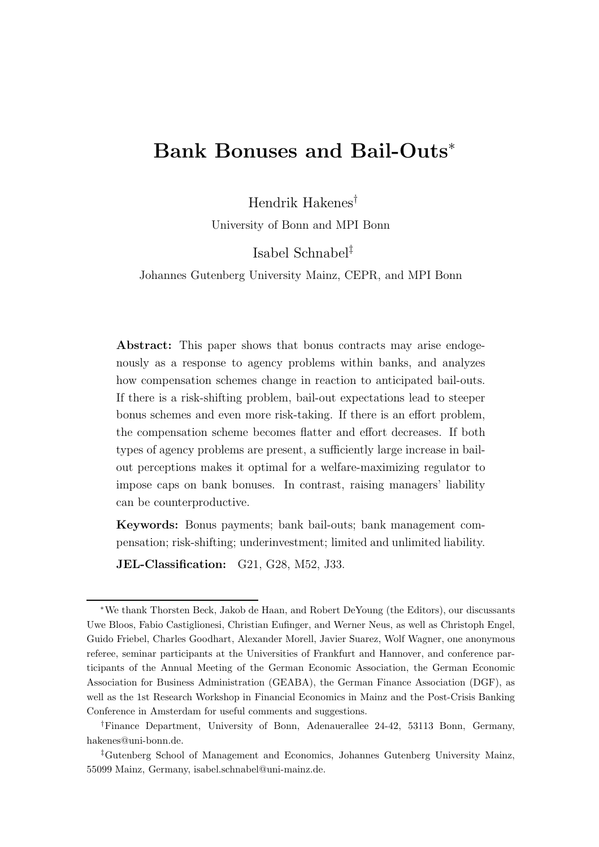## Bank Bonuses and Bail-Outs<sup>∗</sup>

Hendrik Hakenes†

University of Bonn and MPI Bonn

Isabel Schnabel‡

Johannes Gutenberg University Mainz, CEPR, and MPI Bonn

Abstract: This paper shows that bonus contracts may arise endogenously as a response to agency problems within banks, and analyzes how compensation schemes change in reaction to anticipated bail-outs. If there is a risk-shifting problem, bail-out expectations lead to steeper bonus schemes and even more risk-taking. If there is an effort problem, the compensation scheme becomes flatter and effort decreases. If both types of agency problems are present, a sufficiently large increase in bailout perceptions makes it optimal for a welfare-maximizing regulator to impose caps on bank bonuses. In contrast, raising managers' liability can be counterproductive.

Keywords: Bonus payments; bank bail-outs; bank management compensation; risk-shifting; underinvestment; limited and unlimited liability.

JEL-Classification: G21, G28, M52, J33.

<sup>∗</sup>We thank Thorsten Beck, Jakob de Haan, and Robert DeYoung (the Editors), our discussants Uwe Bloos, Fabio Castiglionesi, Christian Eufinger, and Werner Neus, as well as Christoph Engel, Guido Friebel, Charles Goodhart, Alexander Morell, Javier Suarez, Wolf Wagner, one anonymous referee, seminar participants at the Universities of Frankfurt and Hannover, and conference participants of the Annual Meeting of the German Economic Association, the German Economic Association for Business Administration (GEABA), the German Finance Association (DGF), as well as the 1st Research Workshop in Financial Economics in Mainz and the Post-Crisis Banking Conference in Amsterdam for useful comments and suggestions.

<sup>†</sup>Finance Department, University of Bonn, Adenauerallee 24-42, 53113 Bonn, Germany, hakenes@uni-bonn.de.

<sup>‡</sup>Gutenberg School of Management and Economics, Johannes Gutenberg University Mainz, 55099 Mainz, Germany, isabel.schnabel@uni-mainz.de.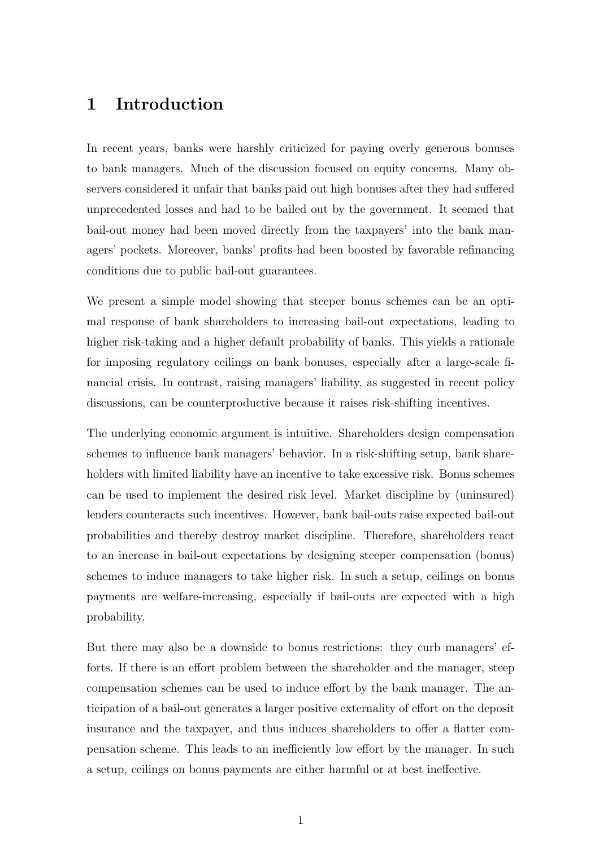### 1 Introduction

In recent years, banks were harshly criticized for paying overly generous bonuses to bank managers. Much of the discussion focused on equity concerns. Many observers considered it unfair that banks paid out high bonuses after they had suffered unprecedented losses and had to be bailed out by the government. It seemed that bail-out money had been moved directly from the taxpayers' into the bank managers' pockets. Moreover, banks' profits had been boosted by favorable refinancing conditions due to public bail-out guarantees.

We present a simple model showing that steeper bonus schemes can be an optimal response of bank shareholders to increasing bail-out expectations, leading to higher risk-taking and a higher default probability of banks. This yields a rationale for imposing regulatory ceilings on bank bonuses, especially after a large-scale financial crisis. In contrast, raising managers' liability, as suggested in recent policy discussions, can be counterproductive because it raises risk-shifting incentives.

The underlying economic argument is intuitive. Shareholders design compensation schemes to influence bank managers' behavior. In a risk-shifting setup, bank shareholders with limited liability have an incentive to take excessive risk. Bonus schemes can be used to implement the desired risk level. Market discipline by (uninsured) lenders counteracts such incentives. However, bank bail-outs raise expected bail-out probabilities and thereby destroy market discipline. Therefore, shareholders react to an increase in bail-out expectations by designing steeper compensation (bonus) schemes to induce managers to take higher risk. In such a setup, ceilings on bonus payments are welfare-increasing, especially if bail-outs are expected with a high probability.

But there may also be a downside to bonus restrictions: they curb managers' efforts. If there is an effort problem between the shareholder and the manager, steep compensation schemes can be used to induce effort by the bank manager. The anticipation of a bail-out generates a larger positive externality of effort on the deposit insurance and the taxpayer, and thus induces shareholders to offer a flatter compensation scheme. This leads to an inefficiently low effort by the manager. In such a setup, ceilings on bonus payments are either harmful or at best ineffective.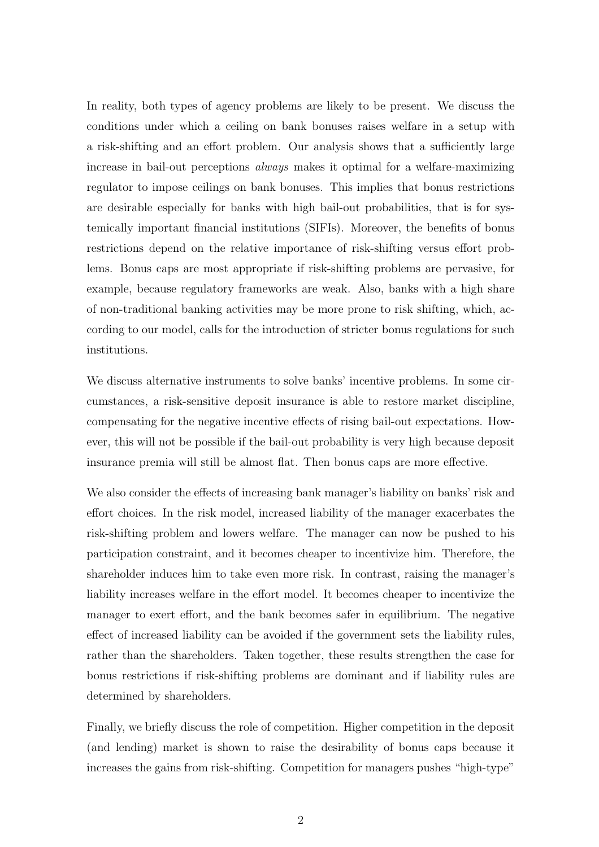In reality, both types of agency problems are likely to be present. We discuss the conditions under which a ceiling on bank bonuses raises welfare in a setup with a risk-shifting and an effort problem. Our analysis shows that a sufficiently large increase in bail-out perceptions always makes it optimal for a welfare-maximizing regulator to impose ceilings on bank bonuses. This implies that bonus restrictions are desirable especially for banks with high bail-out probabilities, that is for systemically important financial institutions (SIFIs). Moreover, the benefits of bonus restrictions depend on the relative importance of risk-shifting versus effort problems. Bonus caps are most appropriate if risk-shifting problems are pervasive, for example, because regulatory frameworks are weak. Also, banks with a high share of non-traditional banking activities may be more prone to risk shifting, which, according to our model, calls for the introduction of stricter bonus regulations for such institutions.

We discuss alternative instruments to solve banks' incentive problems. In some circumstances, a risk-sensitive deposit insurance is able to restore market discipline, compensating for the negative incentive effects of rising bail-out expectations. However, this will not be possible if the bail-out probability is very high because deposit insurance premia will still be almost flat. Then bonus caps are more effective.

We also consider the effects of increasing bank manager's liability on banks' risk and effort choices. In the risk model, increased liability of the manager exacerbates the risk-shifting problem and lowers welfare. The manager can now be pushed to his participation constraint, and it becomes cheaper to incentivize him. Therefore, the shareholder induces him to take even more risk. In contrast, raising the manager's liability increases welfare in the effort model. It becomes cheaper to incentivize the manager to exert effort, and the bank becomes safer in equilibrium. The negative effect of increased liability can be avoided if the government sets the liability rules, rather than the shareholders. Taken together, these results strengthen the case for bonus restrictions if risk-shifting problems are dominant and if liability rules are determined by shareholders.

Finally, we briefly discuss the role of competition. Higher competition in the deposit (and lending) market is shown to raise the desirability of bonus caps because it increases the gains from risk-shifting. Competition for managers pushes "high-type"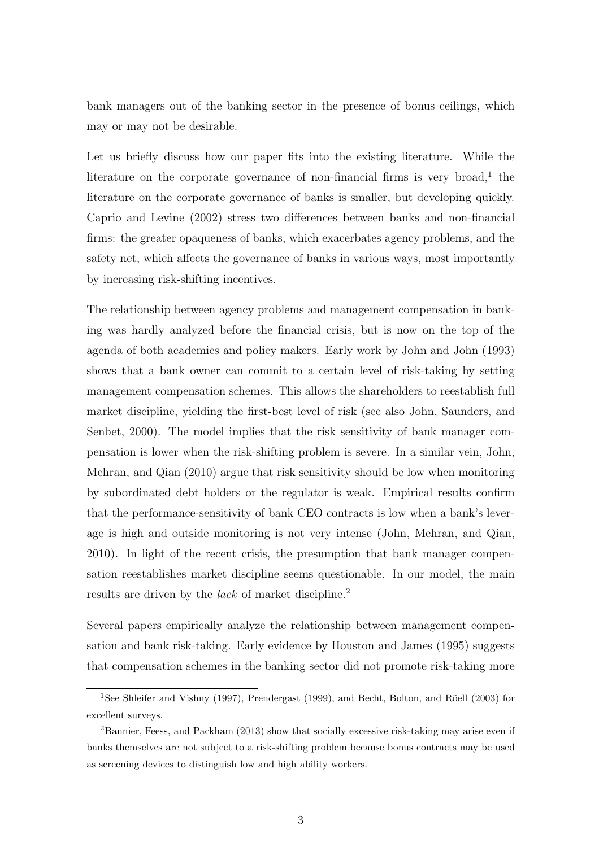bank managers out of the banking sector in the presence of bonus ceilings, which may or may not be desirable.

Let us briefly discuss how our paper fits into the existing literature. While the literature on the corporate governance of non-financial firms is very broad,<sup>1</sup> the literature on the corporate governance of banks is smaller, but developing quickly. Caprio and Levine (2002) stress two differences between banks and non-financial firms: the greater opaqueness of banks, which exacerbates agency problems, and the safety net, which affects the governance of banks in various ways, most importantly by increasing risk-shifting incentives.

The relationship between agency problems and management compensation in banking was hardly analyzed before the financial crisis, but is now on the top of the agenda of both academics and policy makers. Early work by John and John (1993) shows that a bank owner can commit to a certain level of risk-taking by setting management compensation schemes. This allows the shareholders to reestablish full market discipline, yielding the first-best level of risk (see also John, Saunders, and Senbet, 2000). The model implies that the risk sensitivity of bank manager compensation is lower when the risk-shifting problem is severe. In a similar vein, John, Mehran, and Qian (2010) argue that risk sensitivity should be low when monitoring by subordinated debt holders or the regulator is weak. Empirical results confirm that the performance-sensitivity of bank CEO contracts is low when a bank's leverage is high and outside monitoring is not very intense (John, Mehran, and Qian, 2010). In light of the recent crisis, the presumption that bank manager compensation reestablishes market discipline seems questionable. In our model, the main results are driven by the *lack* of market discipline.<sup>2</sup>

Several papers empirically analyze the relationship between management compensation and bank risk-taking. Early evidence by Houston and James (1995) suggests that compensation schemes in the banking sector did not promote risk-taking more

<sup>&</sup>lt;sup>1</sup>See Shleifer and Vishny (1997), Prendergast (1999), and Becht, Bolton, and Röell (2003) for excellent surveys.

<sup>&</sup>lt;sup>2</sup>Bannier, Feess, and Packham (2013) show that socially excessive risk-taking may arise even if banks themselves are not subject to a risk-shifting problem because bonus contracts may be used as screening devices to distinguish low and high ability workers.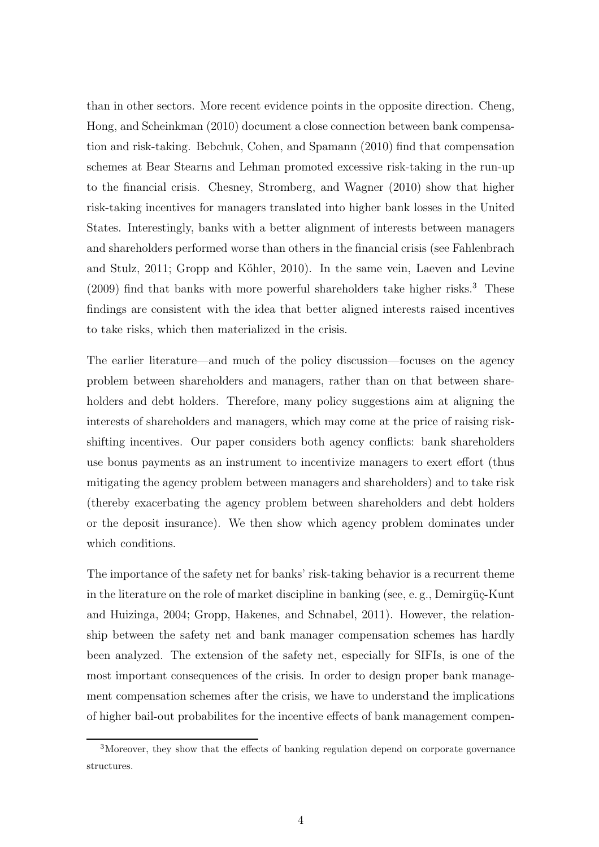than in other sectors. More recent evidence points in the opposite direction. Cheng, Hong, and Scheinkman (2010) document a close connection between bank compensation and risk-taking. Bebchuk, Cohen, and Spamann (2010) find that compensation schemes at Bear Stearns and Lehman promoted excessive risk-taking in the run-up to the financial crisis. Chesney, Stromberg, and Wagner (2010) show that higher risk-taking incentives for managers translated into higher bank losses in the United States. Interestingly, banks with a better alignment of interests between managers and shareholders performed worse than others in the financial crisis (see Fahlenbrach and Stulz, 2011; Gropp and Köhler, 2010). In the same vein, Laeven and Levine  $(2009)$  find that banks with more powerful shareholders take higher risks.<sup>3</sup> These findings are consistent with the idea that better aligned interests raised incentives to take risks, which then materialized in the crisis.

The earlier literature—and much of the policy discussion—focuses on the agency problem between shareholders and managers, rather than on that between shareholders and debt holders. Therefore, many policy suggestions aim at aligning the interests of shareholders and managers, which may come at the price of raising riskshifting incentives. Our paper considers both agency conflicts: bank shareholders use bonus payments as an instrument to incentivize managers to exert effort (thus mitigating the agency problem between managers and shareholders) and to take risk (thereby exacerbating the agency problem between shareholders and debt holders or the deposit insurance). We then show which agency problem dominates under which conditions.

The importance of the safety net for banks' risk-taking behavior is a recurrent theme in the literature on the role of market discipline in banking (see, e.g., Demirgüç-Kunt and Huizinga, 2004; Gropp, Hakenes, and Schnabel, 2011). However, the relationship between the safety net and bank manager compensation schemes has hardly been analyzed. The extension of the safety net, especially for SIFIs, is one of the most important consequences of the crisis. In order to design proper bank management compensation schemes after the crisis, we have to understand the implications of higher bail-out probabilites for the incentive effects of bank management compen-

<sup>3</sup>Moreover, they show that the effects of banking regulation depend on corporate governance structures.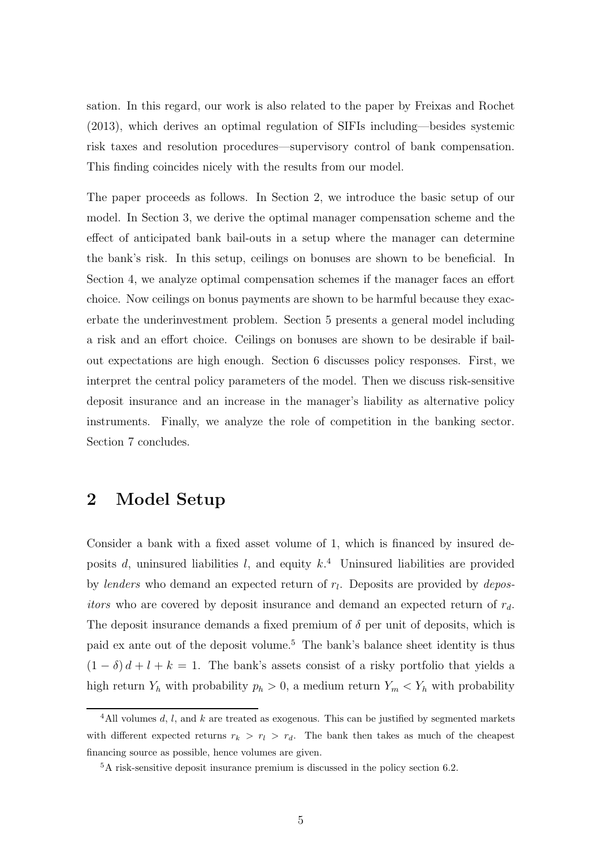sation. In this regard, our work is also related to the paper by Freixas and Rochet (2013), which derives an optimal regulation of SIFIs including—besides systemic risk taxes and resolution procedures—supervisory control of bank compensation. This finding coincides nicely with the results from our model.

The paper proceeds as follows. In Section 2, we introduce the basic setup of our model. In Section 3, we derive the optimal manager compensation scheme and the effect of anticipated bank bail-outs in a setup where the manager can determine the bank's risk. In this setup, ceilings on bonuses are shown to be beneficial. In Section 4, we analyze optimal compensation schemes if the manager faces an effort choice. Now ceilings on bonus payments are shown to be harmful because they exacerbate the underinvestment problem. Section 5 presents a general model including a risk and an effort choice. Ceilings on bonuses are shown to be desirable if bailout expectations are high enough. Section 6 discusses policy responses. First, we interpret the central policy parameters of the model. Then we discuss risk-sensitive deposit insurance and an increase in the manager's liability as alternative policy instruments. Finally, we analyze the role of competition in the banking sector. Section 7 concludes.

#### 2 Model Setup

Consider a bank with a fixed asset volume of 1, which is financed by insured deposits d, uninsured liabilities l, and equity  $k^4$ . Uninsured liabilities are provided by lenders who demand an expected return of  $r_l$ . Deposits are provided by *depositors* who are covered by deposit insurance and demand an expected return of  $r_d$ . The deposit insurance demands a fixed premium of  $\delta$  per unit of deposits, which is paid ex ante out of the deposit volume.<sup>5</sup> The bank's balance sheet identity is thus  $(1 - \delta) d + l + k = 1$ . The bank's assets consist of a risky portfolio that yields a high return  $Y_h$  with probability  $p_h > 0$ , a medium return  $Y_m < Y_h$  with probability

<sup>&</sup>lt;sup>4</sup>All volumes d, l, and k are treated as exogenous. This can be justified by segmented markets with different expected returns  $r_k > r_l > r_d$ . The bank then takes as much of the cheapest financing source as possible, hence volumes are given.

<sup>5</sup>A risk-sensitive deposit insurance premium is discussed in the policy section 6.2.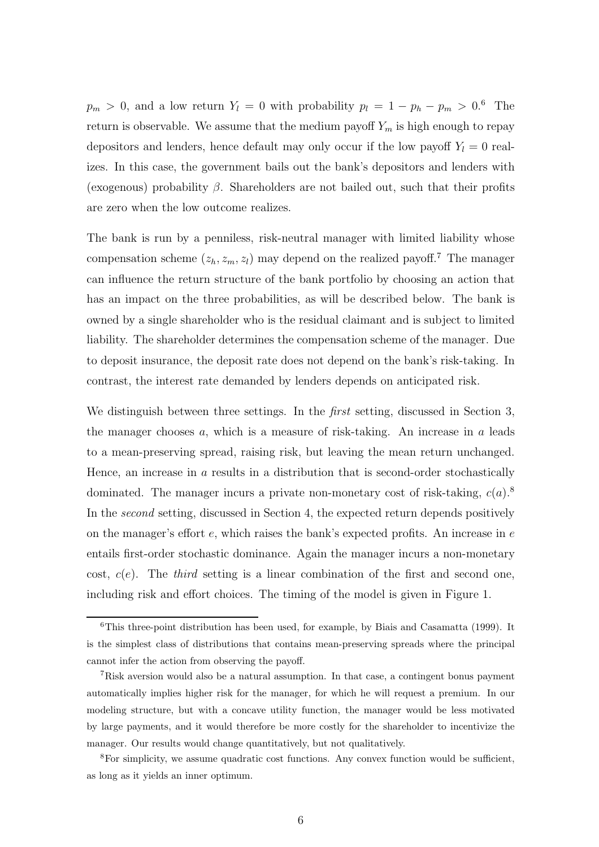$p_m > 0$ , and a low return  $Y_l = 0$  with probability  $p_l = 1 - p_h - p_m > 0.6$  The return is observable. We assume that the medium payoff  $Y_m$  is high enough to repay depositors and lenders, hence default may only occur if the low payoff  $Y<sub>l</sub> = 0$  realizes. In this case, the government bails out the bank's depositors and lenders with (exogenous) probability  $\beta$ . Shareholders are not bailed out, such that their profits are zero when the low outcome realizes.

The bank is run by a penniless, risk-neutral manager with limited liability whose compensation scheme  $(z_h, z_m, z_l)$  may depend on the realized payoff.<sup>7</sup> The manager can influence the return structure of the bank portfolio by choosing an action that has an impact on the three probabilities, as will be described below. The bank is owned by a single shareholder who is the residual claimant and is subject to limited liability. The shareholder determines the compensation scheme of the manager. Due to deposit insurance, the deposit rate does not depend on the bank's risk-taking. In contrast, the interest rate demanded by lenders depends on anticipated risk.

We distinguish between three settings. In the *first* setting, discussed in Section 3, the manager chooses  $a$ , which is a measure of risk-taking. An increase in  $a$  leads to a mean-preserving spread, raising risk, but leaving the mean return unchanged. Hence, an increase in  $\alpha$  results in a distribution that is second-order stochastically dominated. The manager incurs a private non-monetary cost of risk-taking,  $c(a)$ .<sup>8</sup> In the second setting, discussed in Section 4, the expected return depends positively on the manager's effort  $e$ , which raises the bank's expected profits. An increase in  $e$ entails first-order stochastic dominance. Again the manager incurs a non-monetary cost,  $c(e)$ . The *third* setting is a linear combination of the first and second one, including risk and effort choices. The timing of the model is given in Figure 1.

 $6$ This three-point distribution has been used, for example, by Biais and Casamatta (1999). It is the simplest class of distributions that contains mean-preserving spreads where the principal cannot infer the action from observing the payoff.

<sup>7</sup>Risk aversion would also be a natural assumption. In that case, a contingent bonus payment automatically implies higher risk for the manager, for which he will request a premium. In our modeling structure, but with a concave utility function, the manager would be less motivated by large payments, and it would therefore be more costly for the shareholder to incentivize the manager. Our results would change quantitatively, but not qualitatively.

<sup>8</sup>For simplicity, we assume quadratic cost functions. Any convex function would be sufficient, as long as it yields an inner optimum.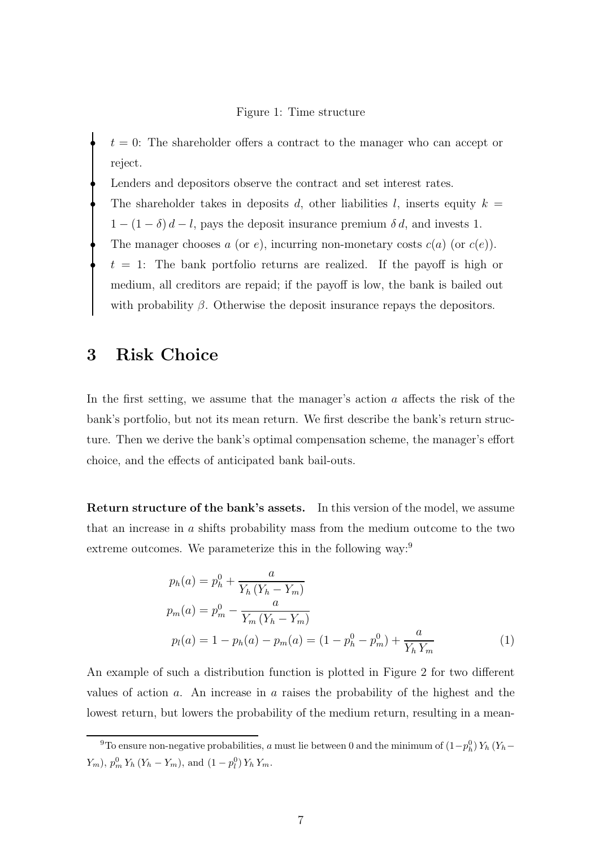#### Figure 1: Time structure

 $t = 0$ : The shareholder offers a contract to the manager who can accept or reject.

Lenders and depositors observe the contract and set interest rates.

- The shareholder takes in deposits d, other liabilities l, inserts equity  $k =$
- $1 (1 \delta) d l$ , pays the deposit insurance premium  $\delta d$ , and invests 1.
- The manager chooses a (or e), incurring non-monetary costs  $c(a)$  (or  $c(e)$ ).
- $t = 1$ : The bank portfolio returns are realized. If the payoff is high or medium, all creditors are repaid; if the payoff is low, the bank is bailed out with probability  $\beta$ . Otherwise the deposit insurance repays the depositors.

### 3 Risk Choice

In the first setting, we assume that the manager's action a affects the risk of the bank's portfolio, but not its mean return. We first describe the bank's return structure. Then we derive the bank's optimal compensation scheme, the manager's effort choice, and the effects of anticipated bank bail-outs.

Return structure of the bank's assets. In this version of the model, we assume that an increase in a shifts probability mass from the medium outcome to the two extreme outcomes. We parameterize this in the following way:<sup>9</sup>

$$
p_h(a) = p_h^0 + \frac{a}{Y_h (Y_h - Y_m)}
$$
  
\n
$$
p_m(a) = p_m^0 - \frac{a}{Y_m (Y_h - Y_m)}
$$
  
\n
$$
p_l(a) = 1 - p_h(a) - p_m(a) = (1 - p_h^0 - p_m^0) + \frac{a}{Y_h Y_m}
$$
\n(1)

An example of such a distribution function is plotted in Figure 2 for two different values of action  $a$ . An increase in  $a$  raises the probability of the highest and the lowest return, but lowers the probability of the medium return, resulting in a mean-

<sup>&</sup>lt;sup>9</sup>To ensure non-negative probabilities, a must lie between 0 and the minimum of  $(1-p_h^0) Y_h (Y_h Y_m$ ),  $p_m^0 Y_h (Y_h - Y_m)$ , and  $(1 - p_l^0) Y_h Y_m$ .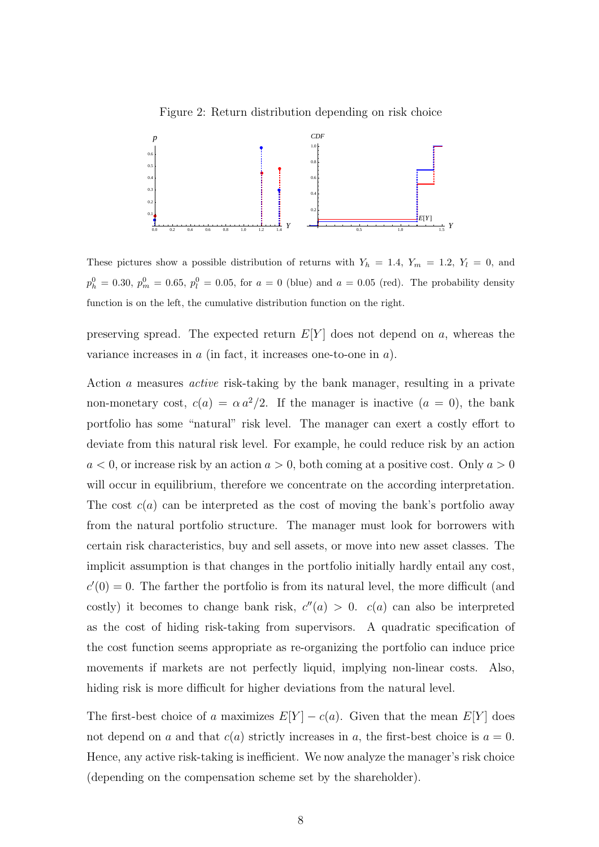Figure 2: Return distribution depending on risk choice



These pictures show a possible distribution of returns with  $Y_h = 1.4$ ,  $Y_m = 1.2$ ,  $Y_l = 0$ , and  $p_h^0 = 0.30, p_m^0 = 0.65, p_l^0 = 0.05,$  for  $a = 0$  (blue) and  $a = 0.05$  (red). The probability density function is on the left, the cumulative distribution function on the right.

preserving spread. The expected return  $E[Y]$  does not depend on a, whereas the variance increases in  $a$  (in fact, it increases one-to-one in  $a$ ).

Action a measures active risk-taking by the bank manager, resulting in a private non-monetary cost,  $c(a) = \alpha a^2/2$ . If the manager is inactive  $(a = 0)$ , the bank portfolio has some "natural" risk level. The manager can exert a costly effort to deviate from this natural risk level. For example, he could reduce risk by an action  $a < 0$ , or increase risk by an action  $a > 0$ , both coming at a positive cost. Only  $a > 0$ will occur in equilibrium, therefore we concentrate on the according interpretation. The cost  $c(a)$  can be interpreted as the cost of moving the bank's portfolio away from the natural portfolio structure. The manager must look for borrowers with certain risk characteristics, buy and sell assets, or move into new asset classes. The implicit assumption is that changes in the portfolio initially hardly entail any cost,  $c'(0) = 0$ . The farther the portfolio is from its natural level, the more difficult (and costly) it becomes to change bank risk,  $c''(a) > 0$ .  $c(a)$  can also be interpreted as the cost of hiding risk-taking from supervisors. A quadratic specification of the cost function seems appropriate as re-organizing the portfolio can induce price movements if markets are not perfectly liquid, implying non-linear costs. Also, hiding risk is more difficult for higher deviations from the natural level.

The first-best choice of a maximizes  $E[Y] - c(a)$ . Given that the mean  $E[Y]$  does not depend on a and that  $c(a)$  strictly increases in a, the first-best choice is  $a = 0$ . Hence, any active risk-taking is inefficient. We now analyze the manager's risk choice (depending on the compensation scheme set by the shareholder).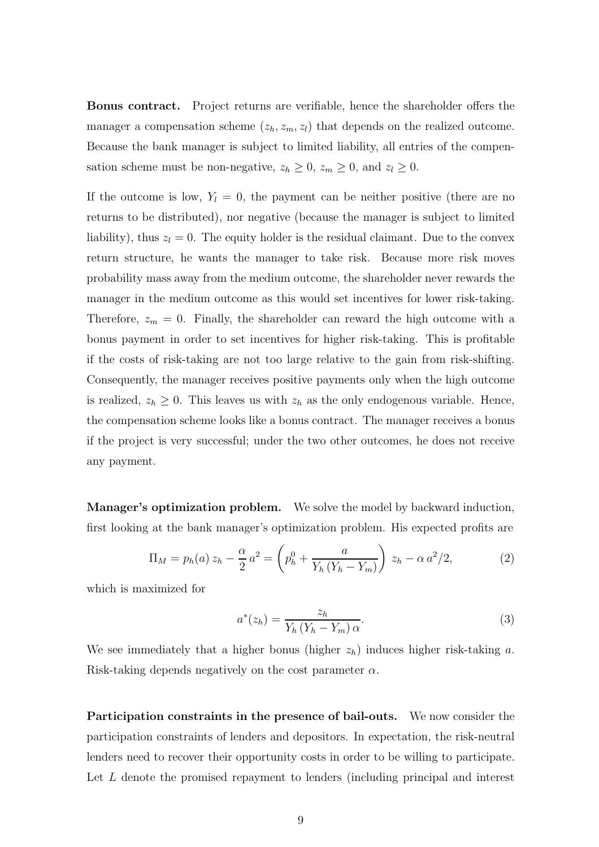Bonus contract. Project returns are verifiable, hence the shareholder offers the manager a compensation scheme  $(z_h, z_m, z_l)$  that depends on the realized outcome. Because the bank manager is subject to limited liability, all entries of the compensation scheme must be non-negative,  $z_h \geq 0$ ,  $z_m \geq 0$ , and  $z_l \geq 0$ .

If the outcome is low,  $Y_l = 0$ , the payment can be neither positive (there are no returns to be distributed), nor negative (because the manager is subject to limited liability), thus  $z_l = 0$ . The equity holder is the residual claimant. Due to the convex return structure, he wants the manager to take risk. Because more risk moves probability mass away from the medium outcome, the shareholder never rewards the manager in the medium outcome as this would set incentives for lower risk-taking. Therefore,  $z_m = 0$ . Finally, the shareholder can reward the high outcome with a bonus payment in order to set incentives for higher risk-taking. This is profitable if the costs of risk-taking are not too large relative to the gain from risk-shifting. Consequently, the manager receives positive payments only when the high outcome is realized,  $z_h \geq 0$ . This leaves us with  $z_h$  as the only endogenous variable. Hence, the compensation scheme looks like a bonus contract. The manager receives a bonus if the project is very successful; under the two other outcomes, he does not receive any payment.

Manager's optimization problem. We solve the model by backward induction, first looking at the bank manager's optimization problem. His expected profits are

$$
\Pi_M = p_h(a) z_h - \frac{\alpha}{2} a^2 = \left( p_h^0 + \frac{a}{Y_h (Y_h - Y_m)} \right) z_h - \alpha a^2 / 2, \tag{2}
$$

which is maximized for

$$
a^*(z_h) = \frac{z_h}{Y_h \left(Y_h - Y_m\right) \alpha}.\tag{3}
$$

We see immediately that a higher bonus (higher  $z_h$ ) induces higher risk-taking a. Risk-taking depends negatively on the cost parameter  $\alpha$ .

Participation constraints in the presence of bail-outs. We now consider the participation constraints of lenders and depositors. In expectation, the risk-neutral lenders need to recover their opportunity costs in order to be willing to participate. Let L denote the promised repayment to lenders (including principal and interest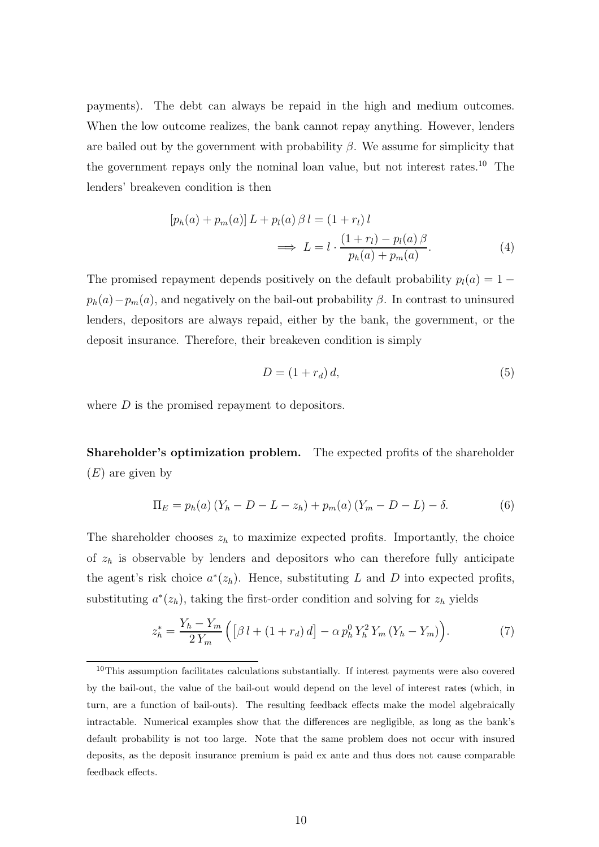payments). The debt can always be repaid in the high and medium outcomes. When the low outcome realizes, the bank cannot repay anything. However, lenders are bailed out by the government with probability  $\beta$ . We assume for simplicity that the government repays only the nominal loan value, but not interest rates.<sup>10</sup> The lenders' breakeven condition is then

$$
[p_h(a) + p_m(a)] L + p_l(a) \beta l = (1 + r_l) l
$$
  

$$
\implies L = l \cdot \frac{(1 + r_l) - p_l(a) \beta}{p_h(a) + p_m(a)}.
$$
 (4)

The promised repayment depends positively on the default probability  $p_l(a) = 1$  $p_h(a)-p_m(a)$ , and negatively on the bail-out probability  $\beta$ . In contrast to uninsured lenders, depositors are always repaid, either by the bank, the government, or the deposit insurance. Therefore, their breakeven condition is simply

$$
D = (1 + r_d) d,\t\t(5)
$$

where D is the promised repayment to depositors.

Shareholder's optimization problem. The expected profits of the shareholder  $(E)$  are given by

$$
\Pi_E = p_h(a) (Y_h - D - L - z_h) + p_m(a) (Y_m - D - L) - \delta.
$$
 (6)

The shareholder chooses  $z_h$  to maximize expected profits. Importantly, the choice of  $z_h$  is observable by lenders and depositors who can therefore fully anticipate the agent's risk choice  $a^*(z_h)$ . Hence, substituting L and D into expected profits, substituting  $a^*(z_h)$ , taking the first-order condition and solving for  $z_h$  yields

$$
z_h^* = \frac{Y_h - Y_m}{2Y_m} \left( \left[ \beta l + (1 + r_d) d \right] - \alpha p_h^0 Y_h^2 Y_m \left( Y_h - Y_m \right) \right). \tag{7}
$$

<sup>10</sup>This assumption facilitates calculations substantially. If interest payments were also covered by the bail-out, the value of the bail-out would depend on the level of interest rates (which, in turn, are a function of bail-outs). The resulting feedback effects make the model algebraically intractable. Numerical examples show that the differences are negligible, as long as the bank's default probability is not too large. Note that the same problem does not occur with insured deposits, as the deposit insurance premium is paid ex ante and thus does not cause comparable feedback effects.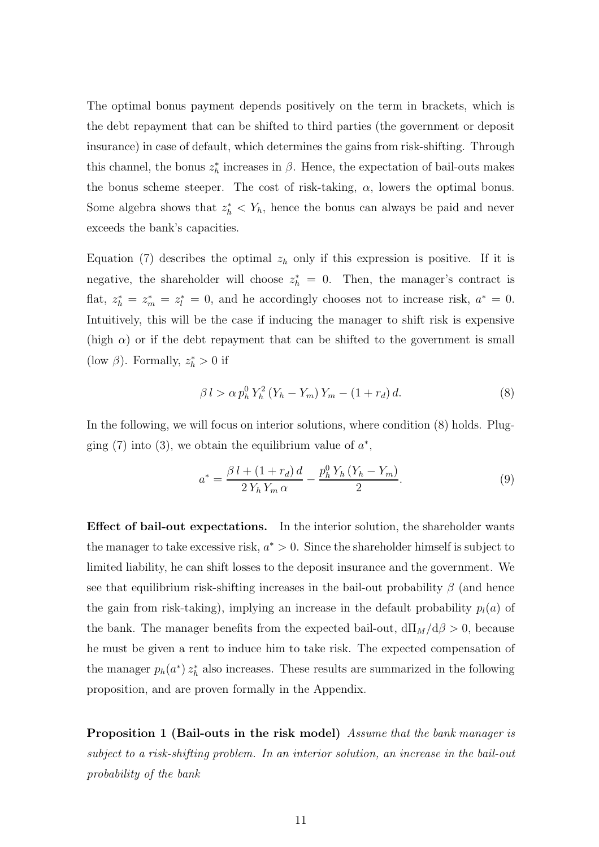The optimal bonus payment depends positively on the term in brackets, which is the debt repayment that can be shifted to third parties (the government or deposit insurance) in case of default, which determines the gains from risk-shifting. Through this channel, the bonus  $z_h^*$  $\hat{h}$  increases in  $\beta$ . Hence, the expectation of bail-outs makes the bonus scheme steeper. The cost of risk-taking,  $\alpha$ , lowers the optimal bonus. Some algebra shows that  $z_h^* \le Y_h$ , hence the bonus can always be paid and never exceeds the bank's capacities.

Equation (7) describes the optimal  $z<sub>h</sub>$  only if this expression is positive. If it is negative, the shareholder will choose  $z_h^* = 0$ . Then, the manager's contract is flat,  $z_h^* = z_m^* = z_l^* = 0$ , and he accordingly chooses not to increase risk,  $a^* = 0$ . Intuitively, this will be the case if inducing the manager to shift risk is expensive (high  $\alpha$ ) or if the debt repayment that can be shifted to the government is small (low  $\beta$ ). Formally,  $z_h^* > 0$  if

$$
\beta l > \alpha p_h^0 Y_h^2 (Y_h - Y_m) Y_m - (1 + r_d) d. \tag{8}
$$

In the following, we will focus on interior solutions, where condition (8) holds. Plugging (7) into (3), we obtain the equilibrium value of  $a^*$ ,

$$
a^* = \frac{\beta \, l + (1 + r_d) \, d}{2 \, Y_h \, Y_m \, \alpha} - \frac{p_h^0 \, Y_h \, (Y_h - Y_m)}{2}.\tag{9}
$$

Effect of bail-out expectations. In the interior solution, the shareholder wants the manager to take excessive risk,  $a^* > 0$ . Since the shareholder himself is subject to limited liability, he can shift losses to the deposit insurance and the government. We see that equilibrium risk-shifting increases in the bail-out probability  $\beta$  (and hence the gain from risk-taking), implying an increase in the default probability  $p_l(a)$  of the bank. The manager benefits from the expected bail-out,  $d\Pi_M/d\beta > 0$ , because he must be given a rent to induce him to take risk. The expected compensation of the manager  $p_h(a^*) z_h^*$  $\frac{k}{h}$  also increases. These results are summarized in the following proposition, and are proven formally in the Appendix.

Proposition 1 (Bail-outs in the risk model) Assume that the bank manager is subject to a risk-shifting problem. In an interior solution, an increase in the bail-out probability of the bank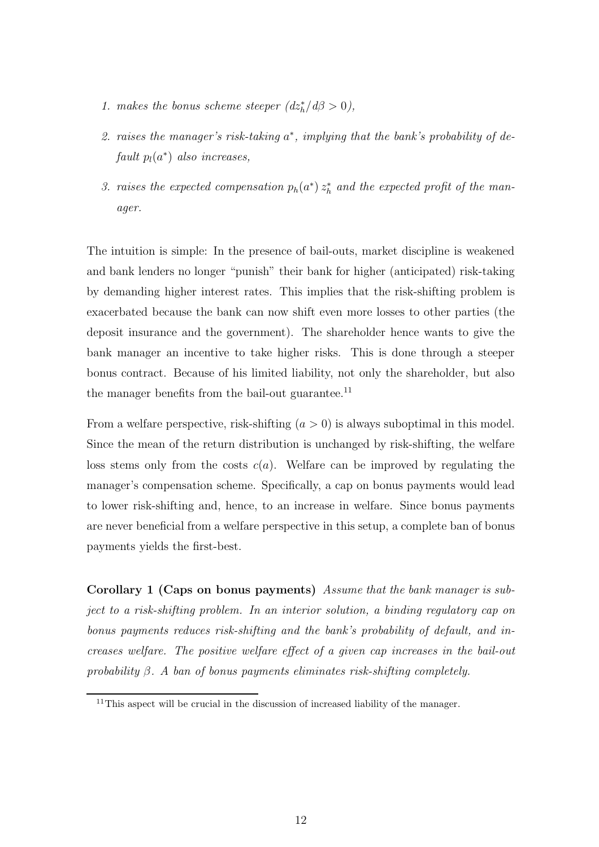- 1. makes the bonus scheme steeper  $\left(dx_h^*\right)$  $_{h}^{*}/d\beta > 0),$
- 2. raises the manager's risk-taking  $a^*$ , implying that the bank's probability of de- $\text{fault } p_l(a^*)$  also increases,
- 3. raises the expected compensation  $p_h(a^*) z_h^*$  $\frac{k}{h}$  and the expected profit of the manager.

The intuition is simple: In the presence of bail-outs, market discipline is weakened and bank lenders no longer "punish" their bank for higher (anticipated) risk-taking by demanding higher interest rates. This implies that the risk-shifting problem is exacerbated because the bank can now shift even more losses to other parties (the deposit insurance and the government). The shareholder hence wants to give the bank manager an incentive to take higher risks. This is done through a steeper bonus contract. Because of his limited liability, not only the shareholder, but also the manager benefits from the bail-out guarantee.<sup>11</sup>

From a welfare perspective, risk-shifting  $(a > 0)$  is always suboptimal in this model. Since the mean of the return distribution is unchanged by risk-shifting, the welfare loss stems only from the costs  $c(a)$ . Welfare can be improved by regulating the manager's compensation scheme. Specifically, a cap on bonus payments would lead to lower risk-shifting and, hence, to an increase in welfare. Since bonus payments are never beneficial from a welfare perspective in this setup, a complete ban of bonus payments yields the first-best.

Corollary 1 (Caps on bonus payments) Assume that the bank manager is subject to a risk-shifting problem. In an interior solution, a binding regulatory cap on bonus payments reduces risk-shifting and the bank's probability of default, and increases welfare. The positive welfare effect of a given cap increases in the bail-out probability  $\beta$ . A ban of bonus payments eliminates risk-shifting completely.

<sup>&</sup>lt;sup>11</sup>This aspect will be crucial in the discussion of increased liability of the manager.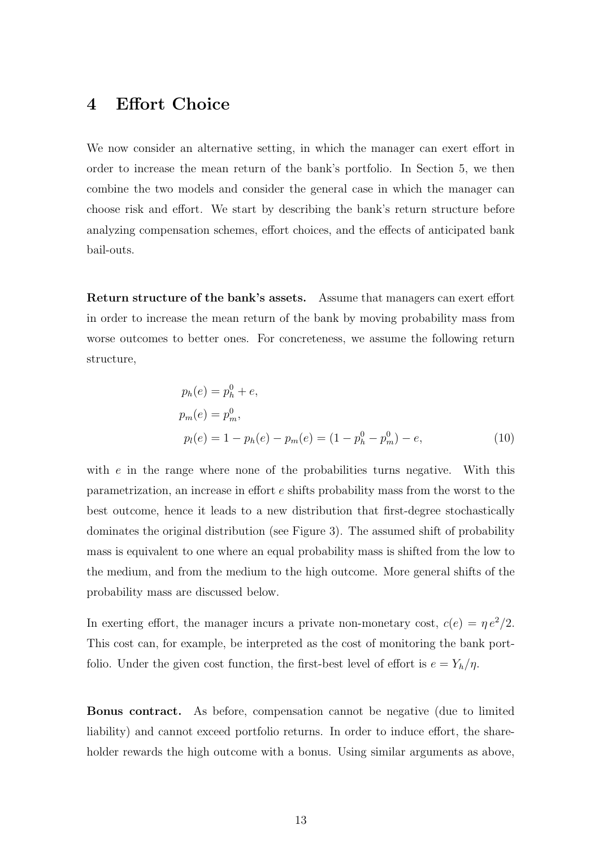### 4 Effort Choice

We now consider an alternative setting, in which the manager can exert effort in order to increase the mean return of the bank's portfolio. In Section 5, we then combine the two models and consider the general case in which the manager can choose risk and effort. We start by describing the bank's return structure before analyzing compensation schemes, effort choices, and the effects of anticipated bank bail-outs.

Return structure of the bank's assets. Assume that managers can exert effort in order to increase the mean return of the bank by moving probability mass from worse outcomes to better ones. For concreteness, we assume the following return structure,

$$
p_h(e) = p_h^0 + e,
$$
  
\n
$$
p_m(e) = p_m^0,
$$
  
\n
$$
p_l(e) = 1 - p_h(e) - p_m(e) = (1 - p_h^0 - p_m^0) - e,
$$
\n(10)

with  $e$  in the range where none of the probabilities turns negative. With this parametrization, an increase in effort e shifts probability mass from the worst to the best outcome, hence it leads to a new distribution that first-degree stochastically dominates the original distribution (see Figure 3). The assumed shift of probability mass is equivalent to one where an equal probability mass is shifted from the low to the medium, and from the medium to the high outcome. More general shifts of the probability mass are discussed below.

In exerting effort, the manager incurs a private non-monetary cost,  $c(e) = \eta e^2/2$ . This cost can, for example, be interpreted as the cost of monitoring the bank portfolio. Under the given cost function, the first-best level of effort is  $e = Y_h/\eta$ .

Bonus contract. As before, compensation cannot be negative (due to limited liability) and cannot exceed portfolio returns. In order to induce effort, the shareholder rewards the high outcome with a bonus. Using similar arguments as above,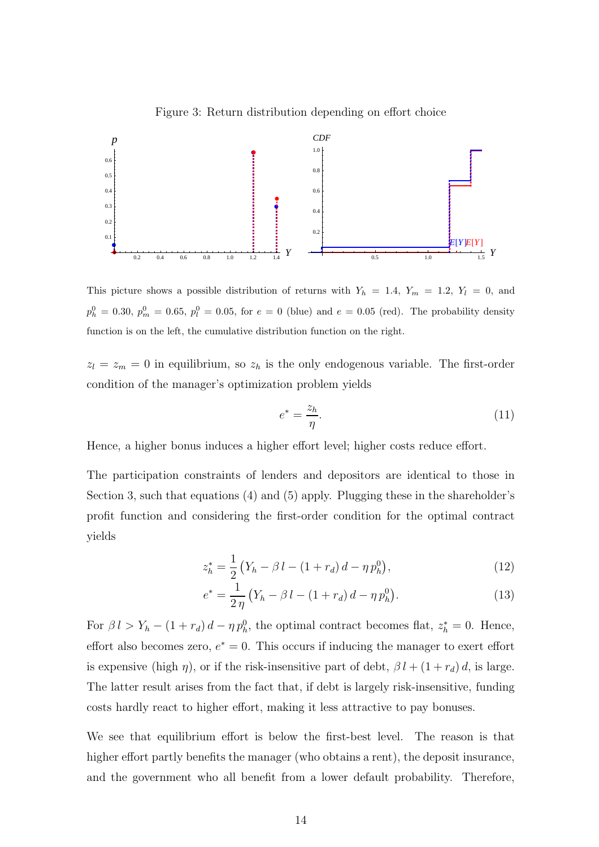

Figure 3: Return distribution depending on effort choice

This picture shows a possible distribution of returns with  $Y_h = 1.4$ ,  $Y_m = 1.2$ ,  $Y_l = 0$ , and  $p_h^0 = 0.30, p_m^0 = 0.65, p_l^0 = 0.05,$  for  $e = 0$  (blue) and  $e = 0.05$  (red). The probability density function is on the left, the cumulative distribution function on the right.

 $z_l = z_m = 0$  in equilibrium, so  $z_h$  is the only endogenous variable. The first-order condition of the manager's optimization problem yields

$$
e^* = \frac{z_h}{\eta}.\tag{11}
$$

Hence, a higher bonus induces a higher effort level; higher costs reduce effort.

The participation constraints of lenders and depositors are identical to those in Section 3, such that equations (4) and (5) apply. Plugging these in the shareholder's profit function and considering the first-order condition for the optimal contract yields

$$
z_h^* = \frac{1}{2} \left( Y_h - \beta \, l - (1 + r_d) \, d - \eta \, p_h^0 \right),\tag{12}
$$

$$
e^* = \frac{1}{2\,\eta} \left( Y_h - \beta \, l - (1 + r_d) \, d - \eta \, p_h^0 \right). \tag{13}
$$

For  $\beta l > Y_h - (1 + r_d) d - \eta p_h^0$ , the optimal contract becomes flat,  $z_h^* = 0$ . Hence, effort also becomes zero,  $e^* = 0$ . This occurs if inducing the manager to exert effort is expensive (high  $\eta$ ), or if the risk-insensitive part of debt,  $\beta l + (1 + r_d) d$ , is large. The latter result arises from the fact that, if debt is largely risk-insensitive, funding costs hardly react to higher effort, making it less attractive to pay bonuses.

We see that equilibrium effort is below the first-best level. The reason is that higher effort partly benefits the manager (who obtains a rent), the deposit insurance, and the government who all benefit from a lower default probability. Therefore,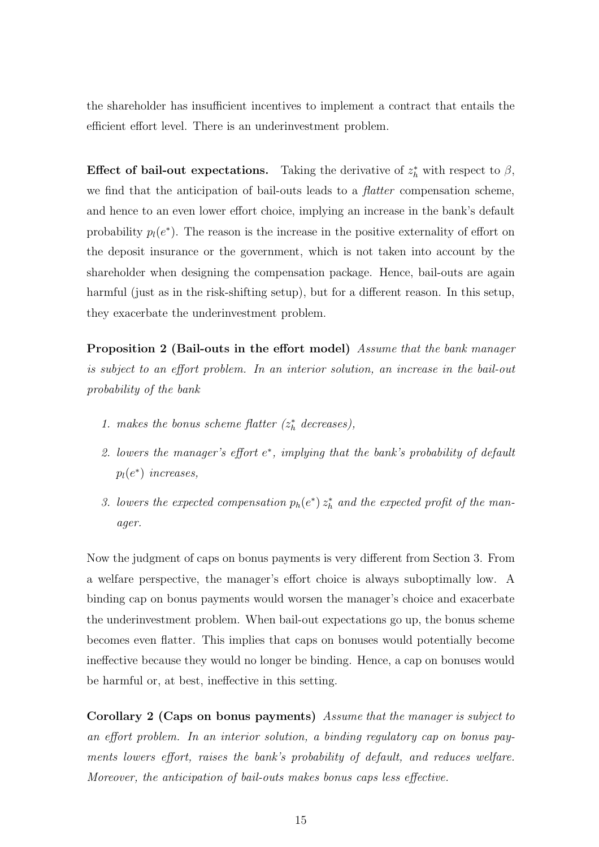the shareholder has insufficient incentives to implement a contract that entails the efficient effort level. There is an underinvestment problem.

**Effect of bail-out expectations.** Taking the derivative of  $z_h^*$  with respect to  $\beta$ , we find that the anticipation of bail-outs leads to a *flatter* compensation scheme, and hence to an even lower effort choice, implying an increase in the bank's default probability  $p_l(e^*)$ . The reason is the increase in the positive externality of effort on the deposit insurance or the government, which is not taken into account by the shareholder when designing the compensation package. Hence, bail-outs are again harmful (just as in the risk-shifting setup), but for a different reason. In this setup, they exacerbate the underinvestment problem.

Proposition 2 (Bail-outs in the effort model) Assume that the bank manager is subject to an effort problem. In an interior solution, an increase in the bail-out probability of the bank

- 1. makes the bonus scheme flatter  $(z_h^*)$  $_{h}^{*}$  decreases),
- 2. lowers the manager's effort  $e^*$ , implying that the bank's probability of default  $p_l(e^*)$  increases,
- 3. lowers the expected compensation  $p_h(e^*) z_h^*$  $\frac{*}{h}$  and the expected profit of the manager.

Now the judgment of caps on bonus payments is very different from Section 3. From a welfare perspective, the manager's effort choice is always suboptimally low. A binding cap on bonus payments would worsen the manager's choice and exacerbate the underinvestment problem. When bail-out expectations go up, the bonus scheme becomes even flatter. This implies that caps on bonuses would potentially become ineffective because they would no longer be binding. Hence, a cap on bonuses would be harmful or, at best, ineffective in this setting.

Corollary 2 (Caps on bonus payments) Assume that the manager is subject to an effort problem. In an interior solution, a binding regulatory cap on bonus payments lowers effort, raises the bank's probability of default, and reduces welfare. Moreover, the anticipation of bail-outs makes bonus caps less effective.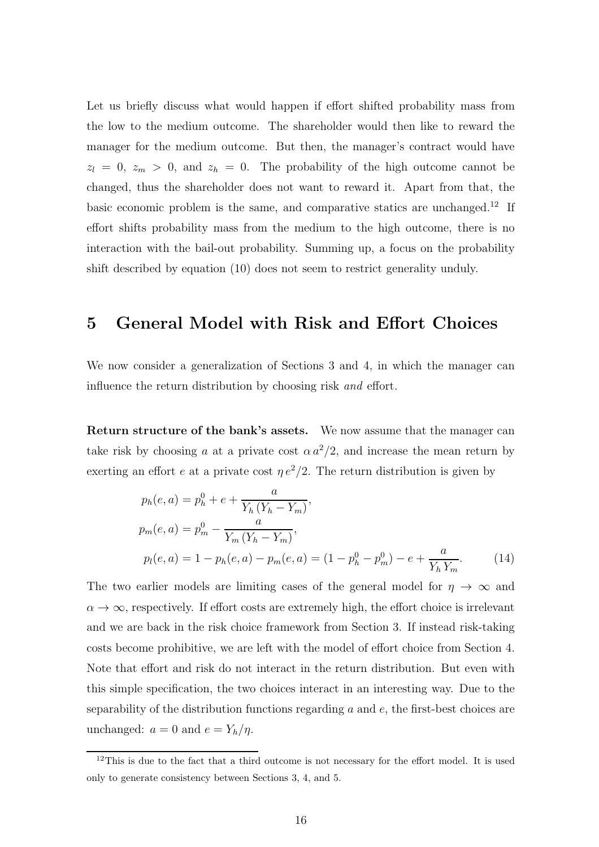Let us briefly discuss what would happen if effort shifted probability mass from the low to the medium outcome. The shareholder would then like to reward the manager for the medium outcome. But then, the manager's contract would have  $z_l = 0, z_m > 0$ , and  $z_h = 0$ . The probability of the high outcome cannot be changed, thus the shareholder does not want to reward it. Apart from that, the basic economic problem is the same, and comparative statics are unchanged.<sup>12</sup> If effort shifts probability mass from the medium to the high outcome, there is no interaction with the bail-out probability. Summing up, a focus on the probability shift described by equation (10) does not seem to restrict generality unduly.

#### 5 General Model with Risk and Effort Choices

We now consider a generalization of Sections 3 and 4, in which the manager can influence the return distribution by choosing risk and effort.

Return structure of the bank's assets. We now assume that the manager can take risk by choosing a at a private cost  $\alpha a^2/2$ , and increase the mean return by exerting an effort e at a private cost  $\eta e^2/2$ . The return distribution is given by

$$
p_h(e, a) = p_h^0 + e + \frac{a}{Y_h (Y_h - Y_m)},
$$
  
\n
$$
p_m(e, a) = p_m^0 - \frac{a}{Y_m (Y_h - Y_m)},
$$
  
\n
$$
p_l(e, a) = 1 - p_h(e, a) - p_m(e, a) = (1 - p_h^0 - p_m^0) - e + \frac{a}{Y_h Y_m}.
$$
\n(14)

The two earlier models are limiting cases of the general model for  $\eta \to \infty$  and  $\alpha \to \infty$ , respectively. If effort costs are extremely high, the effort choice is irrelevant and we are back in the risk choice framework from Section 3. If instead risk-taking costs become prohibitive, we are left with the model of effort choice from Section 4. Note that effort and risk do not interact in the return distribution. But even with this simple specification, the two choices interact in an interesting way. Due to the separability of the distribution functions regarding  $a$  and  $e$ , the first-best choices are unchanged:  $a = 0$  and  $e = Y_h / \eta$ .

<sup>&</sup>lt;sup>12</sup>This is due to the fact that a third outcome is not necessary for the effort model. It is used only to generate consistency between Sections 3, 4, and 5.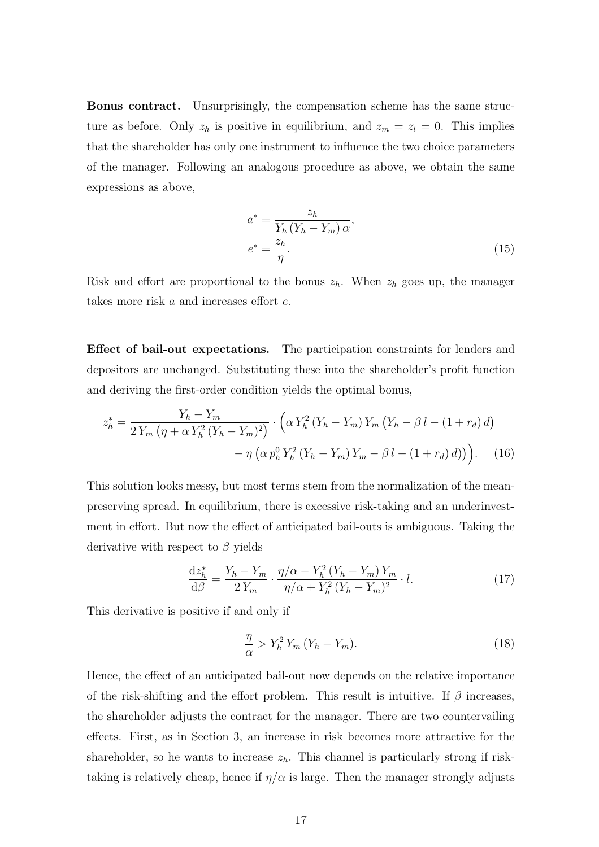Bonus contract. Unsurprisingly, the compensation scheme has the same structure as before. Only  $z_h$  is positive in equilibrium, and  $z_m = z_l = 0$ . This implies that the shareholder has only one instrument to influence the two choice parameters of the manager. Following an analogous procedure as above, we obtain the same expressions as above,

$$
a^* = \frac{z_h}{Y_h (Y_h - Y_m) \alpha},
$$
  
\n
$$
e^* = \frac{z_h}{\eta}.
$$
\n(15)

Risk and effort are proportional to the bonus  $z_h$ . When  $z_h$  goes up, the manager takes more risk a and increases effort e.

Effect of bail-out expectations. The participation constraints for lenders and depositors are unchanged. Substituting these into the shareholder's profit function and deriving the first-order condition yields the optimal bonus,

$$
z_{h}^{*} = \frac{Y_{h} - Y_{m}}{2 Y_{m} \left(\eta + \alpha Y_{h}^{2} (Y_{h} - Y_{m})^{2}\right)} \cdot \left(\alpha Y_{h}^{2} (Y_{h} - Y_{m}) Y_{m} \left(Y_{h} - \beta I - (1 + r_{d}) d\right) - \eta \left(\alpha p_{h}^{0} Y_{h}^{2} (Y_{h} - Y_{m}) Y_{m} - \beta I - (1 + r_{d}) d\right)\right). \tag{16}
$$

This solution looks messy, but most terms stem from the normalization of the meanpreserving spread. In equilibrium, there is excessive risk-taking and an underinvestment in effort. But now the effect of anticipated bail-outs is ambiguous. Taking the derivative with respect to  $\beta$  yields

$$
\frac{dz_h^*}{d\beta} = \frac{Y_h - Y_m}{2Y_m} \cdot \frac{\eta/\alpha - Y_h^2 (Y_h - Y_m) Y_m}{\eta/\alpha + Y_h^2 (Y_h - Y_m)^2} \cdot l. \tag{17}
$$

This derivative is positive if and only if

$$
\frac{\eta}{\alpha} > Y_h^2 Y_m (Y_h - Y_m). \tag{18}
$$

Hence, the effect of an anticipated bail-out now depends on the relative importance of the risk-shifting and the effort problem. This result is intuitive. If  $\beta$  increases, the shareholder adjusts the contract for the manager. There are two countervailing effects. First, as in Section 3, an increase in risk becomes more attractive for the shareholder, so he wants to increase  $z<sub>h</sub>$ . This channel is particularly strong if risktaking is relatively cheap, hence if  $\eta/\alpha$  is large. Then the manager strongly adjusts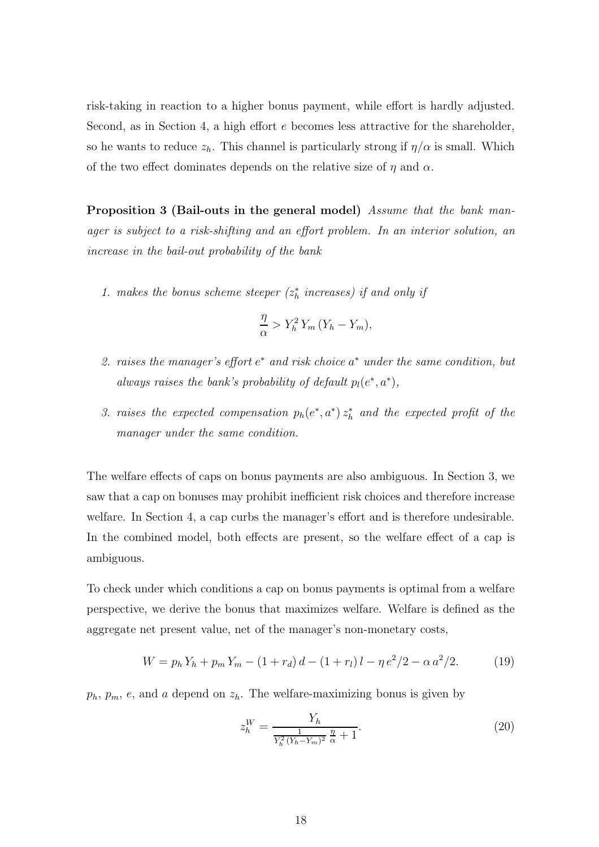risk-taking in reaction to a higher bonus payment, while effort is hardly adjusted. Second, as in Section 4, a high effort e becomes less attractive for the shareholder, so he wants to reduce  $z_h$ . This channel is particularly strong if  $\eta/\alpha$  is small. Which of the two effect dominates depends on the relative size of  $\eta$  and  $\alpha$ .

Proposition 3 (Bail-outs in the general model) Assume that the bank manager is subject to a risk-shifting and an effort problem. In an interior solution, an increase in the bail-out probability of the bank

1. makes the bonus scheme steeper  $(z_h^*)$  $_{h}^{*}$  increases) if and only if

$$
\frac{\eta}{\alpha} > Y_h^2 Y_m (Y_h - Y_m),
$$

- 2. raises the manager's effort  $e^*$  and risk choice  $a^*$  under the same condition, but always raises the bank's probability of default  $p_l(e^*, a^*)$ ,
- 3. raises the expected compensation  $p_h(e^*, a^*) z_h^*$  $\frac{k}{h}$  and the expected profit of the manager under the same condition.

The welfare effects of caps on bonus payments are also ambiguous. In Section 3, we saw that a cap on bonuses may prohibit inefficient risk choices and therefore increase welfare. In Section 4, a cap curbs the manager's effort and is therefore undesirable. In the combined model, both effects are present, so the welfare effect of a cap is ambiguous.

To check under which conditions a cap on bonus payments is optimal from a welfare perspective, we derive the bonus that maximizes welfare. Welfare is defined as the aggregate net present value, net of the manager's non-monetary costs,

$$
W = p_h Y_h + p_m Y_m - (1 + r_d) d - (1 + r_l) l - \eta e^2 / 2 - \alpha a^2 / 2. \tag{19}
$$

 $p_h$ ,  $p_m$ ,  $e$ , and  $a$  depend on  $z_h$ . The welfare-maximizing bonus is given by

$$
z_h^W = \frac{Y_h}{\frac{1}{Y_h^2 (Y_h - Y_m)^2} \frac{\eta}{\alpha} + 1}.
$$
\n(20)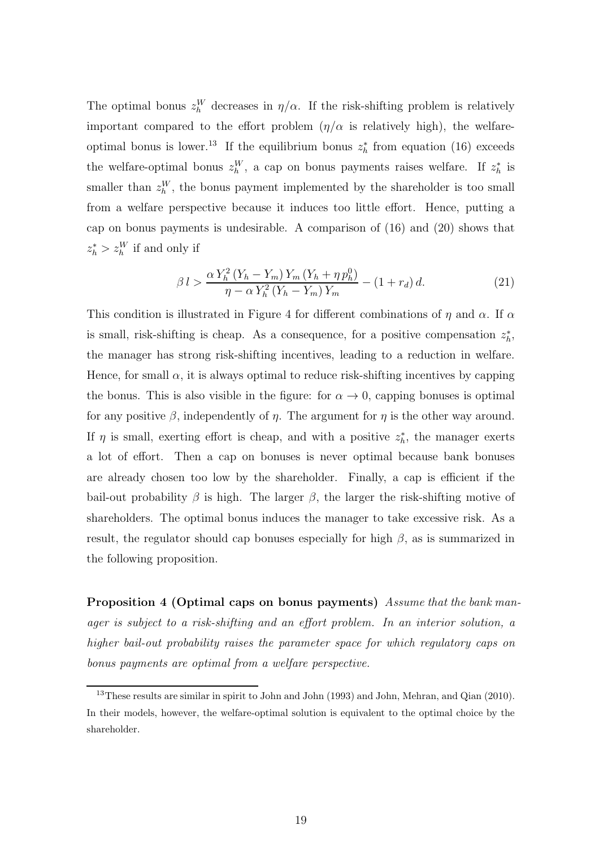The optimal bonus  $z_h^W$  decreases in  $\eta/\alpha$ . If the risk-shifting problem is relatively important compared to the effort problem  $(\eta/\alpha)$  is relatively high), the welfareoptimal bonus is lower.<sup>13</sup> If the equilibrium bonus  $z_h^*$  $\frac{k}{h}$  from equation (16) exceeds the welfare-optimal bonus  $z_h^W$ , a cap on bonus payments raises welfare. If  $z_h^*$  $\frac{k}{h}$  is smaller than  $z_h^W$ , the bonus payment implemented by the shareholder is too small from a welfare perspective because it induces too little effort. Hence, putting a cap on bonus payments is undesirable. A comparison of (16) and (20) shows that  $z_h^* > z_h^W$  if and only if

$$
\beta l > \frac{\alpha Y_h^2 (Y_h - Y_m) Y_m (Y_h + \eta p_h^0)}{\eta - \alpha Y_h^2 (Y_h - Y_m) Y_m} - (1 + r_d) d. \tag{21}
$$

This condition is illustrated in Figure 4 for different combinations of  $\eta$  and  $\alpha$ . If  $\alpha$ is small, risk-shifting is cheap. As a consequence, for a positive compensation  $z_h^*$  $_h^*$ the manager has strong risk-shifting incentives, leading to a reduction in welfare. Hence, for small  $\alpha$ , it is always optimal to reduce risk-shifting incentives by capping the bonus. This is also visible in the figure: for  $\alpha \to 0$ , capping bonuses is optimal for any positive  $\beta$ , independently of  $\eta$ . The argument for  $\eta$  is the other way around. If  $\eta$  is small, exerting effort is cheap, and with a positive  $z_h^*$  $\lambda_h^*$ , the manager exerts a lot of effort. Then a cap on bonuses is never optimal because bank bonuses are already chosen too low by the shareholder. Finally, a cap is efficient if the bail-out probability  $\beta$  is high. The larger  $\beta$ , the larger the risk-shifting motive of shareholders. The optimal bonus induces the manager to take excessive risk. As a result, the regulator should cap bonuses especially for high  $\beta$ , as is summarized in the following proposition.

Proposition 4 (Optimal caps on bonus payments) Assume that the bank manager is subject to a risk-shifting and an effort problem. In an interior solution, a higher bail-out probability raises the parameter space for which regulatory caps on bonus payments are optimal from a welfare perspective.

<sup>&</sup>lt;sup>13</sup>These results are similar in spirit to John and John (1993) and John, Mehran, and Qian (2010). In their models, however, the welfare-optimal solution is equivalent to the optimal choice by the shareholder.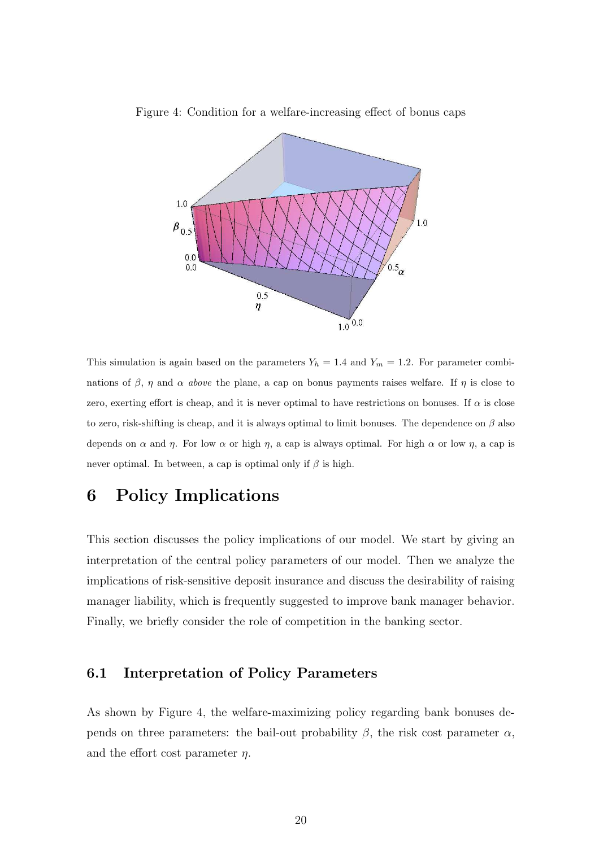

Figure 4: Condition for a welfare-increasing effect of bonus caps

This simulation is again based on the parameters  $Y_h = 1.4$  and  $Y_m = 1.2$ . For parameter combinations of  $\beta$ ,  $\eta$  and  $\alpha$  above the plane, a cap on bonus payments raises welfare. If  $\eta$  is close to zero, exerting effort is cheap, and it is never optimal to have restrictions on bonuses. If  $\alpha$  is close to zero, risk-shifting is cheap, and it is always optimal to limit bonuses. The dependence on  $\beta$  also depends on  $\alpha$  and  $\eta$ . For low  $\alpha$  or high  $\eta$ , a cap is always optimal. For high  $\alpha$  or low  $\eta$ , a cap is never optimal. In between, a cap is optimal only if  $\beta$  is high.

#### 6 Policy Implications

This section discusses the policy implications of our model. We start by giving an interpretation of the central policy parameters of our model. Then we analyze the implications of risk-sensitive deposit insurance and discuss the desirability of raising manager liability, which is frequently suggested to improve bank manager behavior. Finally, we briefly consider the role of competition in the banking sector.

#### 6.1 Interpretation of Policy Parameters

As shown by Figure 4, the welfare-maximizing policy regarding bank bonuses depends on three parameters: the bail-out probability  $\beta$ , the risk cost parameter  $\alpha$ , and the effort cost parameter  $\eta$ .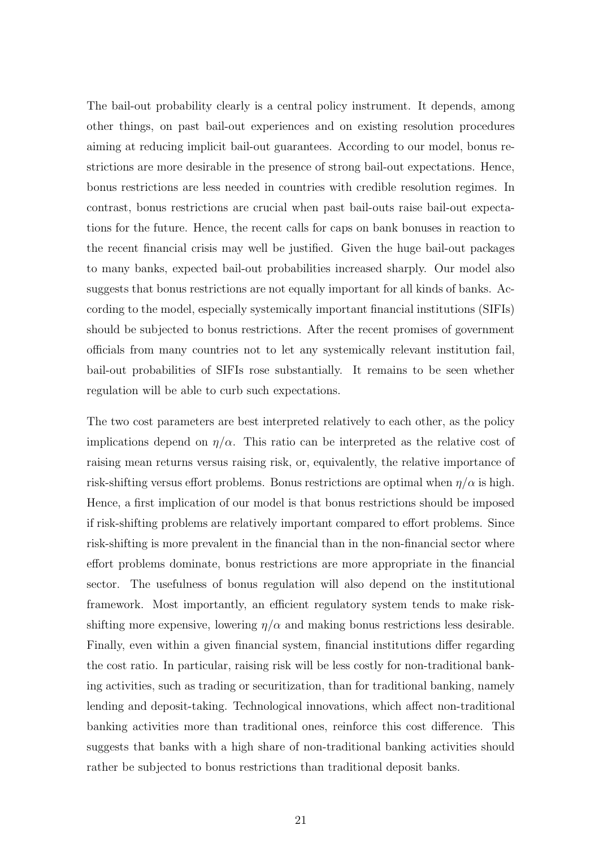The bail-out probability clearly is a central policy instrument. It depends, among other things, on past bail-out experiences and on existing resolution procedures aiming at reducing implicit bail-out guarantees. According to our model, bonus restrictions are more desirable in the presence of strong bail-out expectations. Hence, bonus restrictions are less needed in countries with credible resolution regimes. In contrast, bonus restrictions are crucial when past bail-outs raise bail-out expectations for the future. Hence, the recent calls for caps on bank bonuses in reaction to the recent financial crisis may well be justified. Given the huge bail-out packages to many banks, expected bail-out probabilities increased sharply. Our model also suggests that bonus restrictions are not equally important for all kinds of banks. According to the model, especially systemically important financial institutions (SIFIs) should be subjected to bonus restrictions. After the recent promises of government officials from many countries not to let any systemically relevant institution fail, bail-out probabilities of SIFIs rose substantially. It remains to be seen whether regulation will be able to curb such expectations.

The two cost parameters are best interpreted relatively to each other, as the policy implications depend on  $\eta/\alpha$ . This ratio can be interpreted as the relative cost of raising mean returns versus raising risk, or, equivalently, the relative importance of risk-shifting versus effort problems. Bonus restrictions are optimal when  $\eta/\alpha$  is high. Hence, a first implication of our model is that bonus restrictions should be imposed if risk-shifting problems are relatively important compared to effort problems. Since risk-shifting is more prevalent in the financial than in the non-financial sector where effort problems dominate, bonus restrictions are more appropriate in the financial sector. The usefulness of bonus regulation will also depend on the institutional framework. Most importantly, an efficient regulatory system tends to make riskshifting more expensive, lowering  $\eta/\alpha$  and making bonus restrictions less desirable. Finally, even within a given financial system, financial institutions differ regarding the cost ratio. In particular, raising risk will be less costly for non-traditional banking activities, such as trading or securitization, than for traditional banking, namely lending and deposit-taking. Technological innovations, which affect non-traditional banking activities more than traditional ones, reinforce this cost difference. This suggests that banks with a high share of non-traditional banking activities should rather be subjected to bonus restrictions than traditional deposit banks.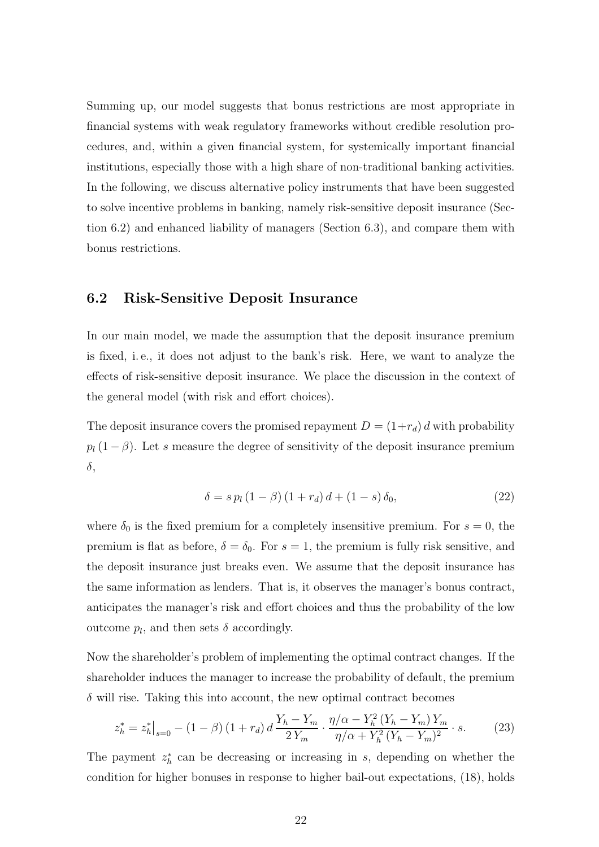Summing up, our model suggests that bonus restrictions are most appropriate in financial systems with weak regulatory frameworks without credible resolution procedures, and, within a given financial system, for systemically important financial institutions, especially those with a high share of non-traditional banking activities. In the following, we discuss alternative policy instruments that have been suggested to solve incentive problems in banking, namely risk-sensitive deposit insurance (Section 6.2) and enhanced liability of managers (Section 6.3), and compare them with bonus restrictions.

#### 6.2 Risk-Sensitive Deposit Insurance

In our main model, we made the assumption that the deposit insurance premium is fixed, i. e., it does not adjust to the bank's risk. Here, we want to analyze the effects of risk-sensitive deposit insurance. We place the discussion in the context of the general model (with risk and effort choices).

The deposit insurance covers the promised repayment  $D = (1+r_d) d$  with probability  $p_l (1 - \beta)$ . Let s measure the degree of sensitivity of the deposit insurance premium δ,

$$
\delta = s p_l (1 - \beta) (1 + r_d) d + (1 - s) \delta_0,
$$
\n(22)

where  $\delta_0$  is the fixed premium for a completely insensitive premium. For  $s = 0$ , the premium is flat as before,  $\delta = \delta_0$ . For  $s = 1$ , the premium is fully risk sensitive, and the deposit insurance just breaks even. We assume that the deposit insurance has the same information as lenders. That is, it observes the manager's bonus contract, anticipates the manager's risk and effort choices and thus the probability of the low outcome  $p_l$ , and then sets  $\delta$  accordingly.

Now the shareholder's problem of implementing the optimal contract changes. If the shareholder induces the manager to increase the probability of default, the premium  $\delta$  will rise. Taking this into account, the new optimal contract becomes

$$
z_h^* = z_h^* \big|_{s=0} - (1 - \beta) (1 + r_d) d \frac{Y_h - Y_m}{2 Y_m} \cdot \frac{\eta/\alpha - Y_h^2 (Y_h - Y_m) Y_m}{\eta/\alpha + Y_h^2 (Y_h - Y_m)^2} \cdot s. \tag{23}
$$

The payment  $z_h^*$  $\stackrel{*}{h}$  can be decreasing or increasing in s, depending on whether the condition for higher bonuses in response to higher bail-out expectations, (18), holds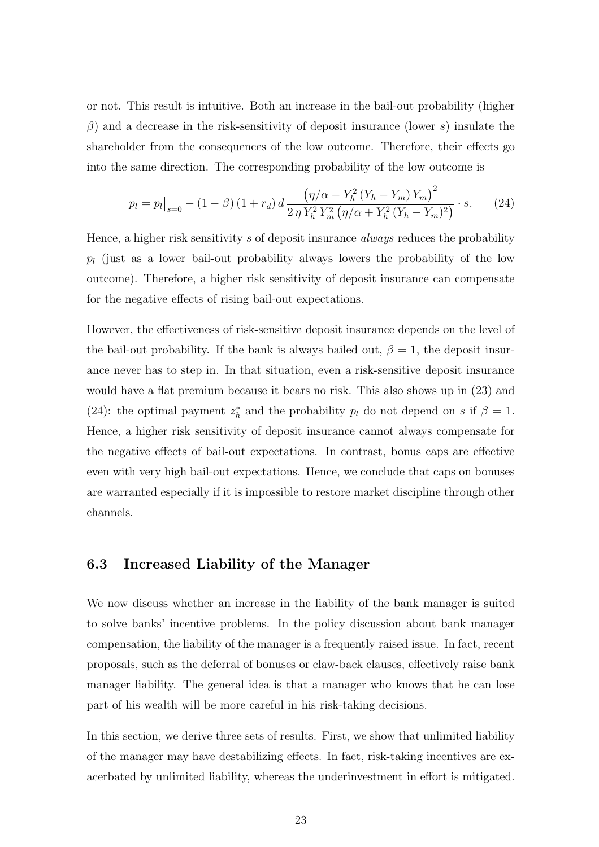or not. This result is intuitive. Both an increase in the bail-out probability (higher  $\beta$ ) and a decrease in the risk-sensitivity of deposit insurance (lower s) insulate the shareholder from the consequences of the low outcome. Therefore, their effects go into the same direction. The corresponding probability of the low outcome is

$$
p_l = p_l|_{s=0} - (1 - \beta) (1 + r_d) d \frac{\left(\eta/\alpha - Y_h^2 (Y_h - Y_m) Y_m\right)^2}{2 \eta Y_h^2 Y_m^2 \left(\eta/\alpha + Y_h^2 (Y_h - Y_m)^2\right)} \cdot s. \tag{24}
$$

Hence, a higher risk sensitivity s of deposit insurance *always* reduces the probability  $p_l$  (just as a lower bail-out probability always lowers the probability of the low outcome). Therefore, a higher risk sensitivity of deposit insurance can compensate for the negative effects of rising bail-out expectations.

However, the effectiveness of risk-sensitive deposit insurance depends on the level of the bail-out probability. If the bank is always bailed out,  $\beta = 1$ , the deposit insurance never has to step in. In that situation, even a risk-sensitive deposit insurance would have a flat premium because it bears no risk. This also shows up in (23) and (24): the optimal payment  $z_h^*$  $\hat{h}$  and the probability  $p_l$  do not depend on s if  $\beta = 1$ . Hence, a higher risk sensitivity of deposit insurance cannot always compensate for the negative effects of bail-out expectations. In contrast, bonus caps are effective even with very high bail-out expectations. Hence, we conclude that caps on bonuses are warranted especially if it is impossible to restore market discipline through other channels.

#### 6.3 Increased Liability of the Manager

We now discuss whether an increase in the liability of the bank manager is suited to solve banks' incentive problems. In the policy discussion about bank manager compensation, the liability of the manager is a frequently raised issue. In fact, recent proposals, such as the deferral of bonuses or claw-back clauses, effectively raise bank manager liability. The general idea is that a manager who knows that he can lose part of his wealth will be more careful in his risk-taking decisions.

In this section, we derive three sets of results. First, we show that unlimited liability of the manager may have destabilizing effects. In fact, risk-taking incentives are exacerbated by unlimited liability, whereas the underinvestment in effort is mitigated.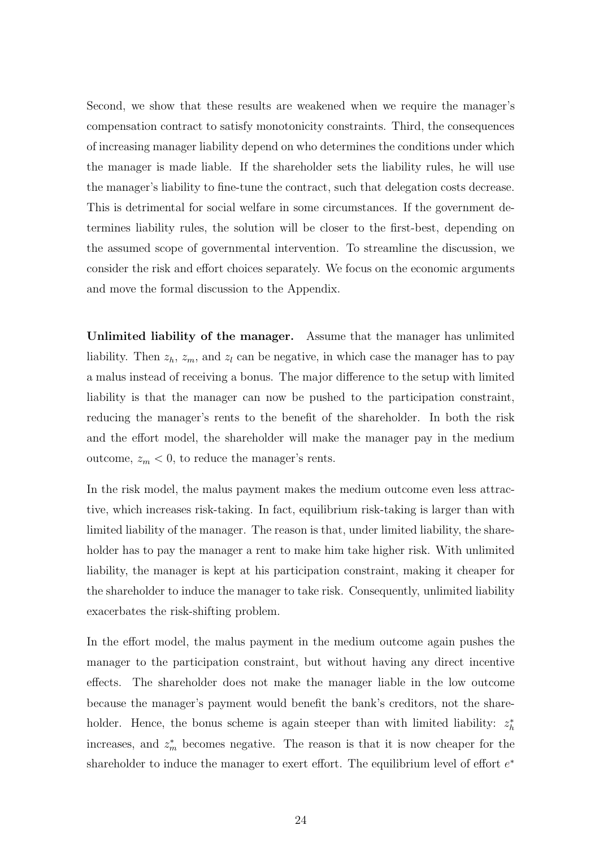Second, we show that these results are weakened when we require the manager's compensation contract to satisfy monotonicity constraints. Third, the consequences of increasing manager liability depend on who determines the conditions under which the manager is made liable. If the shareholder sets the liability rules, he will use the manager's liability to fine-tune the contract, such that delegation costs decrease. This is detrimental for social welfare in some circumstances. If the government determines liability rules, the solution will be closer to the first-best, depending on the assumed scope of governmental intervention. To streamline the discussion, we consider the risk and effort choices separately. We focus on the economic arguments and move the formal discussion to the Appendix.

Unlimited liability of the manager. Assume that the manager has unlimited liability. Then  $z_h$ ,  $z_m$ , and  $z_l$  can be negative, in which case the manager has to pay a malus instead of receiving a bonus. The major difference to the setup with limited liability is that the manager can now be pushed to the participation constraint, reducing the manager's rents to the benefit of the shareholder. In both the risk and the effort model, the shareholder will make the manager pay in the medium outcome,  $z_m < 0$ , to reduce the manager's rents.

In the risk model, the malus payment makes the medium outcome even less attractive, which increases risk-taking. In fact, equilibrium risk-taking is larger than with limited liability of the manager. The reason is that, under limited liability, the shareholder has to pay the manager a rent to make him take higher risk. With unlimited liability, the manager is kept at his participation constraint, making it cheaper for the shareholder to induce the manager to take risk. Consequently, unlimited liability exacerbates the risk-shifting problem.

In the effort model, the malus payment in the medium outcome again pushes the manager to the participation constraint, but without having any direct incentive effects. The shareholder does not make the manager liable in the low outcome because the manager's payment would benefit the bank's creditors, not the shareholder. Hence, the bonus scheme is again steeper than with limited liability:  $z_h^*$ h increases, and  $z_m^*$  becomes negative. The reason is that it is now cheaper for the shareholder to induce the manager to exert effort. The equilibrium level of effort  $e^*$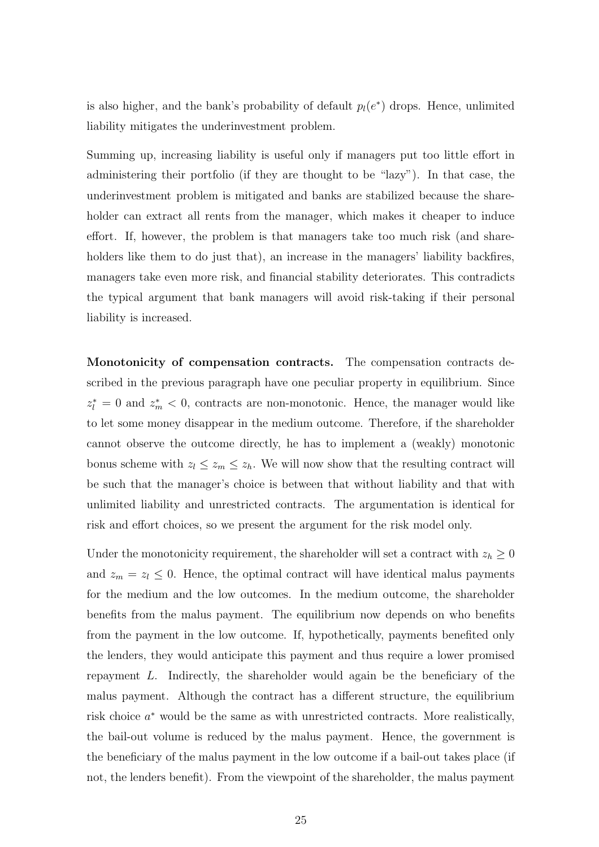is also higher, and the bank's probability of default  $p_l(e^*)$  drops. Hence, unlimited liability mitigates the underinvestment problem.

Summing up, increasing liability is useful only if managers put too little effort in administering their portfolio (if they are thought to be "lazy"). In that case, the underinvestment problem is mitigated and banks are stabilized because the shareholder can extract all rents from the manager, which makes it cheaper to induce effort. If, however, the problem is that managers take too much risk (and shareholders like them to do just that), an increase in the managers' liability backfires, managers take even more risk, and financial stability deteriorates. This contradicts the typical argument that bank managers will avoid risk-taking if their personal liability is increased.

Monotonicity of compensation contracts. The compensation contracts described in the previous paragraph have one peculiar property in equilibrium. Since  $z_l^* = 0$  and  $z_m^* < 0$ , contracts are non-monotonic. Hence, the manager would like to let some money disappear in the medium outcome. Therefore, if the shareholder cannot observe the outcome directly, he has to implement a (weakly) monotonic bonus scheme with  $z_l \le z_m \le z_h$ . We will now show that the resulting contract will be such that the manager's choice is between that without liability and that with unlimited liability and unrestricted contracts. The argumentation is identical for risk and effort choices, so we present the argument for the risk model only.

Under the monotonicity requirement, the shareholder will set a contract with  $z_h \geq 0$ and  $z_m = z_l \leq 0$ . Hence, the optimal contract will have identical malus payments for the medium and the low outcomes. In the medium outcome, the shareholder benefits from the malus payment. The equilibrium now depends on who benefits from the payment in the low outcome. If, hypothetically, payments benefited only the lenders, they would anticipate this payment and thus require a lower promised repayment L. Indirectly, the shareholder would again be the beneficiary of the malus payment. Although the contract has a different structure, the equilibrium risk choice  $a^*$  would be the same as with unrestricted contracts. More realistically, the bail-out volume is reduced by the malus payment. Hence, the government is the beneficiary of the malus payment in the low outcome if a bail-out takes place (if not, the lenders benefit). From the viewpoint of the shareholder, the malus payment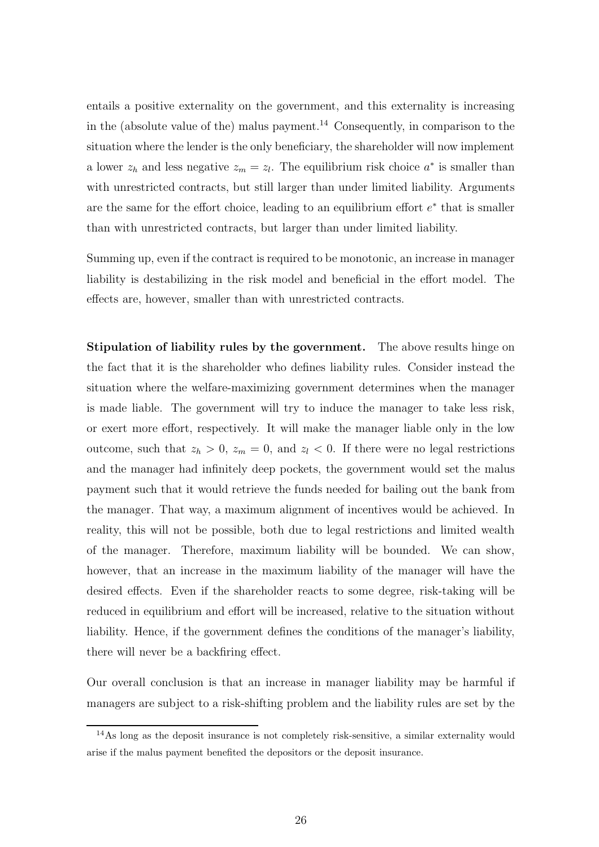entails a positive externality on the government, and this externality is increasing in the (absolute value of the) malus payment.<sup>14</sup> Consequently, in comparison to the situation where the lender is the only beneficiary, the shareholder will now implement a lower  $z_h$  and less negative  $z_m = z_l$ . The equilibrium risk choice  $a^*$  is smaller than with unrestricted contracts, but still larger than under limited liability. Arguments are the same for the effort choice, leading to an equilibrium effort  $e^*$  that is smaller than with unrestricted contracts, but larger than under limited liability.

Summing up, even if the contract is required to be monotonic, an increase in manager liability is destabilizing in the risk model and beneficial in the effort model. The effects are, however, smaller than with unrestricted contracts.

Stipulation of liability rules by the government. The above results hinge on the fact that it is the shareholder who defines liability rules. Consider instead the situation where the welfare-maximizing government determines when the manager is made liable. The government will try to induce the manager to take less risk, or exert more effort, respectively. It will make the manager liable only in the low outcome, such that  $z_h > 0$ ,  $z_m = 0$ , and  $z_l < 0$ . If there were no legal restrictions and the manager had infinitely deep pockets, the government would set the malus payment such that it would retrieve the funds needed for bailing out the bank from the manager. That way, a maximum alignment of incentives would be achieved. In reality, this will not be possible, both due to legal restrictions and limited wealth of the manager. Therefore, maximum liability will be bounded. We can show, however, that an increase in the maximum liability of the manager will have the desired effects. Even if the shareholder reacts to some degree, risk-taking will be reduced in equilibrium and effort will be increased, relative to the situation without liability. Hence, if the government defines the conditions of the manager's liability, there will never be a backfiring effect.

Our overall conclusion is that an increase in manager liability may be harmful if managers are subject to a risk-shifting problem and the liability rules are set by the

<sup>&</sup>lt;sup>14</sup>As long as the deposit insurance is not completely risk-sensitive, a similar externality would arise if the malus payment benefited the depositors or the deposit insurance.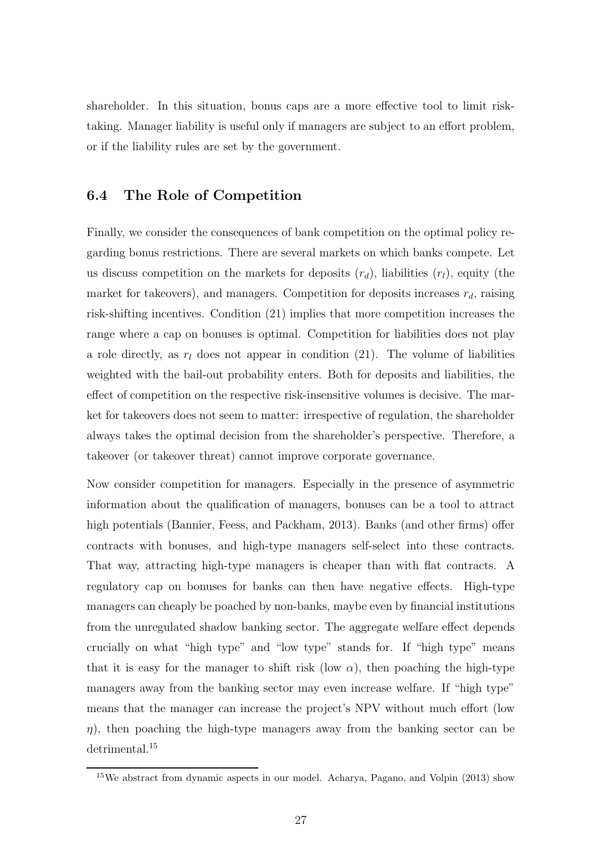shareholder. In this situation, bonus caps are a more effective tool to limit risktaking. Manager liability is useful only if managers are subject to an effort problem, or if the liability rules are set by the government.

#### 6.4 The Role of Competition

Finally, we consider the consequences of bank competition on the optimal policy regarding bonus restrictions. There are several markets on which banks compete. Let us discuss competition on the markets for deposits  $(r_d)$ , liabilities  $(r_l)$ , equity (the market for takeovers), and managers. Competition for deposits increases  $r_d$ , raising risk-shifting incentives. Condition (21) implies that more competition increases the range where a cap on bonuses is optimal. Competition for liabilities does not play a role directly, as  $r_l$  does not appear in condition (21). The volume of liabilities weighted with the bail-out probability enters. Both for deposits and liabilities, the effect of competition on the respective risk-insensitive volumes is decisive. The market for takeovers does not seem to matter: irrespective of regulation, the shareholder always takes the optimal decision from the shareholder's perspective. Therefore, a takeover (or takeover threat) cannot improve corporate governance.

Now consider competition for managers. Especially in the presence of asymmetric information about the qualification of managers, bonuses can be a tool to attract high potentials (Bannier, Feess, and Packham, 2013). Banks (and other firms) offer contracts with bonuses, and high-type managers self-select into these contracts. That way, attracting high-type managers is cheaper than with flat contracts. A regulatory cap on bonuses for banks can then have negative effects. High-type managers can cheaply be poached by non-banks, maybe even by financial institutions from the unregulated shadow banking sector. The aggregate welfare effect depends crucially on what "high type" and "low type" stands for. If "high type" means that it is easy for the manager to shift risk (low  $\alpha$ ), then poaching the high-type managers away from the banking sector may even increase welfare. If "high type" means that the manager can increase the project's NPV without much effort (low  $\eta$ ), then poaching the high-type managers away from the banking sector can be detrimental.<sup>15</sup>

<sup>15</sup>We abstract from dynamic aspects in our model. Acharya, Pagano, and Volpin (2013) show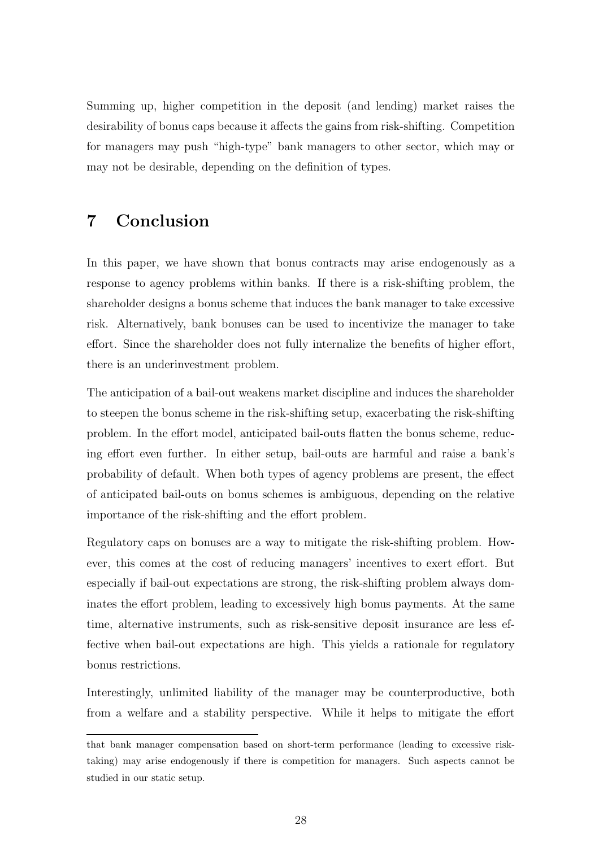Summing up, higher competition in the deposit (and lending) market raises the desirability of bonus caps because it affects the gains from risk-shifting. Competition for managers may push "high-type" bank managers to other sector, which may or may not be desirable, depending on the definition of types.

### 7 Conclusion

In this paper, we have shown that bonus contracts may arise endogenously as a response to agency problems within banks. If there is a risk-shifting problem, the shareholder designs a bonus scheme that induces the bank manager to take excessive risk. Alternatively, bank bonuses can be used to incentivize the manager to take effort. Since the shareholder does not fully internalize the benefits of higher effort, there is an underinvestment problem.

The anticipation of a bail-out weakens market discipline and induces the shareholder to steepen the bonus scheme in the risk-shifting setup, exacerbating the risk-shifting problem. In the effort model, anticipated bail-outs flatten the bonus scheme, reducing effort even further. In either setup, bail-outs are harmful and raise a bank's probability of default. When both types of agency problems are present, the effect of anticipated bail-outs on bonus schemes is ambiguous, depending on the relative importance of the risk-shifting and the effort problem.

Regulatory caps on bonuses are a way to mitigate the risk-shifting problem. However, this comes at the cost of reducing managers' incentives to exert effort. But especially if bail-out expectations are strong, the risk-shifting problem always dominates the effort problem, leading to excessively high bonus payments. At the same time, alternative instruments, such as risk-sensitive deposit insurance are less effective when bail-out expectations are high. This yields a rationale for regulatory bonus restrictions.

Interestingly, unlimited liability of the manager may be counterproductive, both from a welfare and a stability perspective. While it helps to mitigate the effort

that bank manager compensation based on short-term performance (leading to excessive risktaking) may arise endogenously if there is competition for managers. Such aspects cannot be studied in our static setup.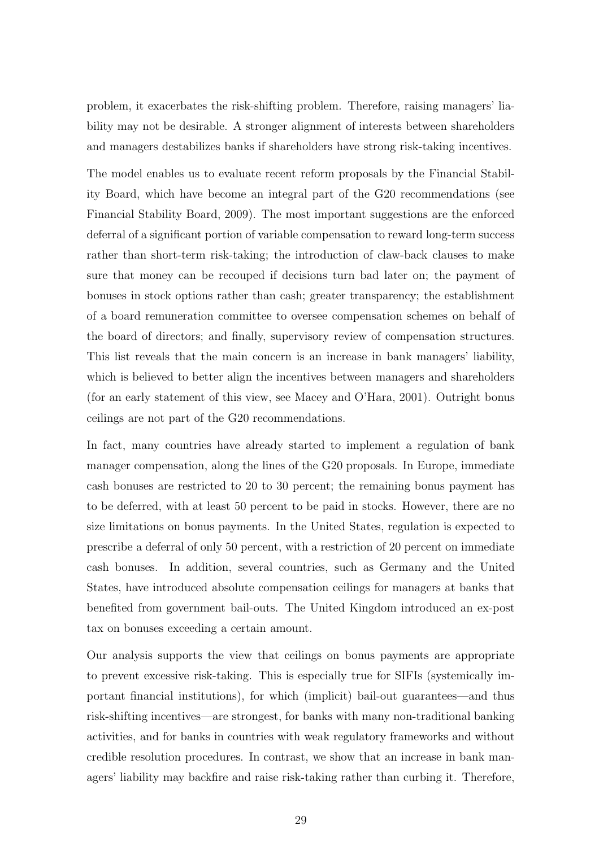problem, it exacerbates the risk-shifting problem. Therefore, raising managers' liability may not be desirable. A stronger alignment of interests between shareholders and managers destabilizes banks if shareholders have strong risk-taking incentives.

The model enables us to evaluate recent reform proposals by the Financial Stability Board, which have become an integral part of the G20 recommendations (see Financial Stability Board, 2009). The most important suggestions are the enforced deferral of a significant portion of variable compensation to reward long-term success rather than short-term risk-taking; the introduction of claw-back clauses to make sure that money can be recouped if decisions turn bad later on; the payment of bonuses in stock options rather than cash; greater transparency; the establishment of a board remuneration committee to oversee compensation schemes on behalf of the board of directors; and finally, supervisory review of compensation structures. This list reveals that the main concern is an increase in bank managers' liability, which is believed to better align the incentives between managers and shareholders (for an early statement of this view, see Macey and O'Hara, 2001). Outright bonus ceilings are not part of the G20 recommendations.

In fact, many countries have already started to implement a regulation of bank manager compensation, along the lines of the G20 proposals. In Europe, immediate cash bonuses are restricted to 20 to 30 percent; the remaining bonus payment has to be deferred, with at least 50 percent to be paid in stocks. However, there are no size limitations on bonus payments. In the United States, regulation is expected to prescribe a deferral of only 50 percent, with a restriction of 20 percent on immediate cash bonuses. In addition, several countries, such as Germany and the United States, have introduced absolute compensation ceilings for managers at banks that benefited from government bail-outs. The United Kingdom introduced an ex-post tax on bonuses exceeding a certain amount.

Our analysis supports the view that ceilings on bonus payments are appropriate to prevent excessive risk-taking. This is especially true for SIFIs (systemically important financial institutions), for which (implicit) bail-out guarantees—and thus risk-shifting incentives—are strongest, for banks with many non-traditional banking activities, and for banks in countries with weak regulatory frameworks and without credible resolution procedures. In contrast, we show that an increase in bank managers' liability may backfire and raise risk-taking rather than curbing it. Therefore,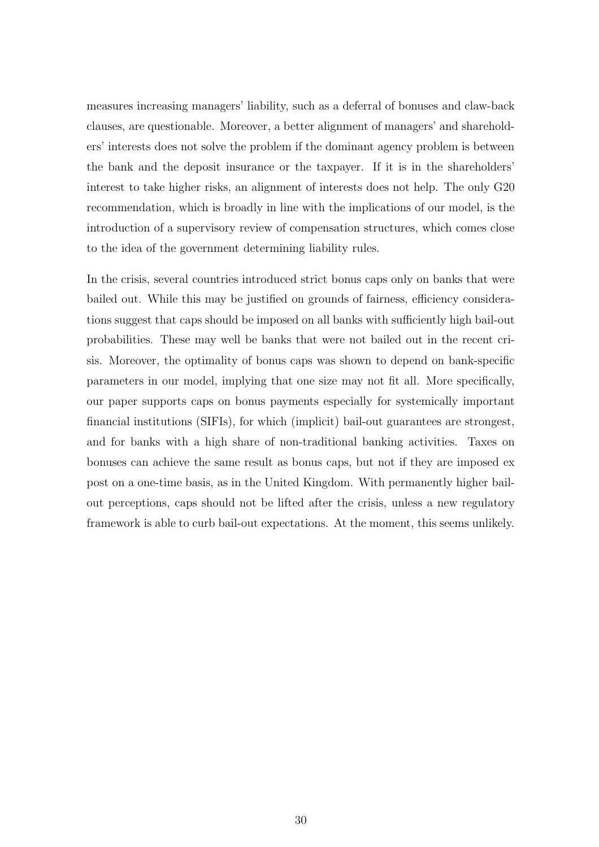measures increasing managers' liability, such as a deferral of bonuses and claw-back clauses, are questionable. Moreover, a better alignment of managers' and shareholders' interests does not solve the problem if the dominant agency problem is between the bank and the deposit insurance or the taxpayer. If it is in the shareholders' interest to take higher risks, an alignment of interests does not help. The only G20 recommendation, which is broadly in line with the implications of our model, is the introduction of a supervisory review of compensation structures, which comes close to the idea of the government determining liability rules.

In the crisis, several countries introduced strict bonus caps only on banks that were bailed out. While this may be justified on grounds of fairness, efficiency considerations suggest that caps should be imposed on all banks with sufficiently high bail-out probabilities. These may well be banks that were not bailed out in the recent crisis. Moreover, the optimality of bonus caps was shown to depend on bank-specific parameters in our model, implying that one size may not fit all. More specifically, our paper supports caps on bonus payments especially for systemically important financial institutions (SIFIs), for which (implicit) bail-out guarantees are strongest, and for banks with a high share of non-traditional banking activities. Taxes on bonuses can achieve the same result as bonus caps, but not if they are imposed ex post on a one-time basis, as in the United Kingdom. With permanently higher bailout perceptions, caps should not be lifted after the crisis, unless a new regulatory framework is able to curb bail-out expectations. At the moment, this seems unlikely.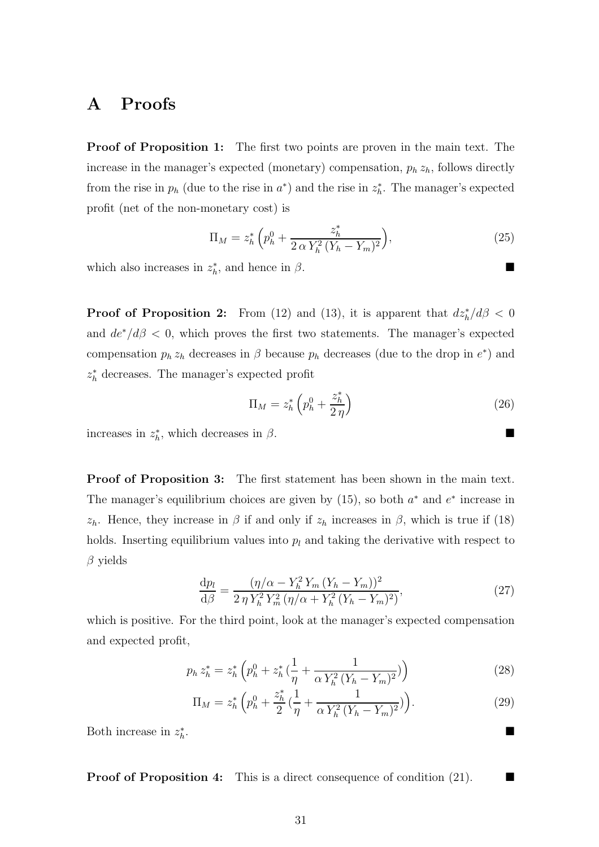### A Proofs

Proof of Proposition 1: The first two points are proven in the main text. The increase in the manager's expected (monetary) compensation,  $p_h z_h$ , follows directly from the rise in  $p_h$  (due to the rise in  $a^*$ ) and the rise in  $z_h^*$ h . The manager's expected profit (net of the non-monetary cost) is

$$
\Pi_M = z_h^* \left( p_h^0 + \frac{z_h^*}{2 \alpha Y_h^2 (Y_h - Y_m)^2} \right),\tag{25}
$$

which also increases in  $z_h^*$  $\lambda_h^*$ , and hence in  $\beta$ .

**Proof of Proposition 2:** From (12) and (13), it is apparent that  $dz_h^*/d\beta < 0$ and  $de^*/d\beta < 0$ , which proves the first two statements. The manager's expected compensation  $p_h z_h$  decreases in  $\beta$  because  $p_h$  decreases (due to the drop in  $e^*$ ) and  $z_h^\ast$  decreases. The manager's expected profit

$$
\Pi_M = z_h^* \left( p_h^0 + \frac{z_h^*}{2 \eta} \right) \tag{26}
$$

increases in  $z_h^*$  $\hat{h}$ , which decreases in  $\beta$ .

**Proof of Proposition 3:** The first statement has been shown in the main text. The manager's equilibrium choices are given by  $(15)$ , so both  $a^*$  and  $e^*$  increase in  $z_h$ . Hence, they increase in  $\beta$  if and only if  $z_h$  increases in  $\beta$ , which is true if (18) holds. Inserting equilibrium values into  $p_l$  and taking the derivative with respect to  $\beta$  yields

$$
\frac{\mathrm{d}p_l}{\mathrm{d}\beta} = \frac{(\eta/\alpha - Y_h^2 Y_m (Y_h - Y_m))^2}{2 \eta Y_h^2 Y_m^2 (\eta/\alpha + Y_h^2 (Y_h - Y_m)^2)},\tag{27}
$$

which is positive. For the third point, look at the manager's expected compensation and expected profit,

$$
p_h z_h^* = z_h^* \left( p_h^0 + z_h^* \left( \frac{1}{\eta} + \frac{1}{\alpha Y_h^2 \left( Y_h - Y_m \right)^2} \right) \right) \tag{28}
$$

$$
\Pi_M = z_h^* \left( p_h^0 + \frac{z_h^*}{2} \left( \frac{1}{\eta} + \frac{1}{\alpha Y_h^2 \left( Y_h - Y_m \right)^2} \right) \right).
$$
\n(29)

Both increase in  $z_h^*$ h .

**Proof of Proposition 4:** This is a direct consequence of condition  $(21)$ .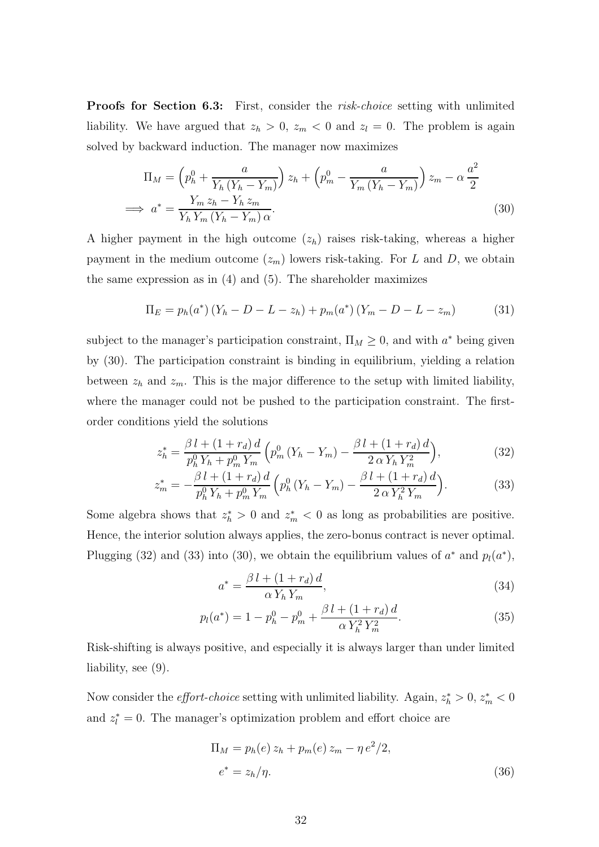**Proofs for Section 6.3:** First, consider the *risk-choice* setting with unlimited liability. We have argued that  $z_h > 0$ ,  $z_m < 0$  and  $z_l = 0$ . The problem is again solved by backward induction. The manager now maximizes

$$
\Pi_M = \left(p_h^0 + \frac{a}{Y_h \left(Y_h - Y_m\right)}\right) z_h + \left(p_m^0 - \frac{a}{Y_m \left(Y_h - Y_m\right)}\right) z_m - \alpha \frac{a^2}{2}
$$
\n
$$
\implies a^* = \frac{Y_m z_h - Y_h z_m}{Y_h Y_m \left(Y_h - Y_m\right) \alpha}.\tag{30}
$$

A higher payment in the high outcome  $(z_h)$  raises risk-taking, whereas a higher payment in the medium outcome  $(z_m)$  lowers risk-taking. For L and D, we obtain the same expression as in  $(4)$  and  $(5)$ . The shareholder maximizes

$$
\Pi_E = p_h(a^*) (Y_h - D - L - z_h) + p_m(a^*) (Y_m - D - L - z_m)
$$
 (31)

subject to the manager's participation constraint,  $\Pi_M \geq 0$ , and with  $a^*$  being given by (30). The participation constraint is binding in equilibrium, yielding a relation between  $z_h$  and  $z_m$ . This is the major difference to the setup with limited liability, where the manager could not be pushed to the participation constraint. The firstorder conditions yield the solutions

$$
z_h^* = \frac{\beta \, l + (1 + r_d) \, d}{p_h^0 \, Y_h + p_m^0 \, Y_m} \left( p_m^0 \left( Y_h - Y_m \right) - \frac{\beta \, l + (1 + r_d) \, d}{2 \, \alpha \, Y_h \, Y_m^2} \right),\tag{32}
$$

$$
z_{m}^{*} = -\frac{\beta l + (1+r_{d}) d}{p_{h}^{0} Y_{h} + p_{m}^{0} Y_{m}} \left( p_{h}^{0} (Y_{h} - Y_{m}) - \frac{\beta l + (1+r_{d}) d}{2 \alpha Y_{h}^{2} Y_{m}} \right).
$$
 (33)

Some algebra shows that  $z_h^* > 0$  and  $z_m^* < 0$  as long as probabilities are positive. Hence, the interior solution always applies, the zero-bonus contract is never optimal. Plugging (32) and (33) into (30), we obtain the equilibrium values of  $a^*$  and  $p_l(a^*)$ ,

$$
a^* = \frac{\beta \, l + (1 + r_d) \, d}{\alpha \, Y_h \, Y_m},\tag{34}
$$

$$
p_l(a^*) = 1 - p_h^0 - p_m^0 + \frac{\beta l + (1 + r_d) d}{\alpha Y_h^2 Y_m^2}.
$$
 (35)

Risk-shifting is always positive, and especially it is always larger than under limited liability, see (9).

Now consider the *effort-choice* setting with unlimited liability. Again,  $z_h^* > 0$ ,  $z_m^* < 0$ and  $z_l^* = 0$ . The manager's optimization problem and effort choice are

$$
\Pi_M = p_h(e) z_h + p_m(e) z_m - \eta e^2 / 2,
$$
  

$$
e^* = z_h / \eta.
$$
 (36)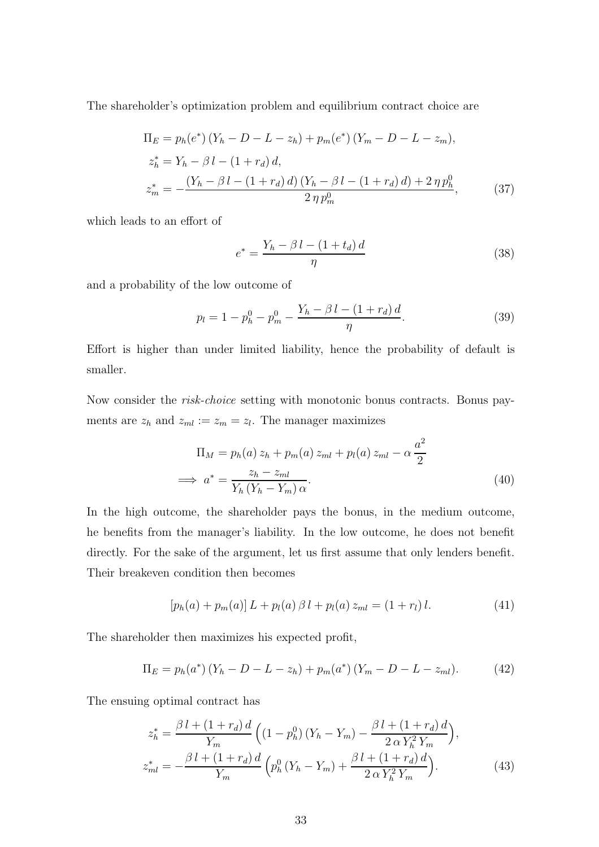The shareholder's optimization problem and equilibrium contract choice are

$$
\Pi_E = p_h(e^*) (Y_h - D - L - z_h) + p_m(e^*) (Y_m - D - L - z_m),
$$
  
\n
$$
z_h^* = Y_h - \beta l - (1 + r_d) d,
$$
  
\n
$$
z_m^* = -\frac{(Y_h - \beta l - (1 + r_d) d) (Y_h - \beta l - (1 + r_d) d) + 2 \eta p_h^0}{2 \eta p_m^0},
$$
\n(37)

which leads to an effort of

$$
e^* = \frac{Y_h - \beta l - (1 + t_d) d}{\eta} \tag{38}
$$

and a probability of the low outcome of

$$
p_l = 1 - p_h^0 - p_m^0 - \frac{Y_h - \beta l - (1 + r_d) d}{\eta}.
$$
 (39)

Effort is higher than under limited liability, hence the probability of default is smaller.

Now consider the risk-choice setting with monotonic bonus contracts. Bonus payments are  $z_h$  and  $z_{ml} := z_m = z_l$ . The manager maximizes

$$
\Pi_M = p_h(a) z_h + p_m(a) z_{ml} + p_l(a) z_{ml} - \alpha \frac{a^2}{2}
$$
\n
$$
\implies a^* = \frac{z_h - z_{ml}}{Y_h(Y_h - Y_m) \alpha}.
$$
\n(40)

In the high outcome, the shareholder pays the bonus, in the medium outcome, he benefits from the manager's liability. In the low outcome, he does not benefit directly. For the sake of the argument, let us first assume that only lenders benefit. Their breakeven condition then becomes

$$
[p_h(a) + p_m(a)] L + p_l(a) \beta l + p_l(a) z_{ml} = (1 + r_l) l.
$$
 (41)

The shareholder then maximizes his expected profit,

$$
\Pi_E = p_h(a^*) (Y_h - D - L - z_h) + p_m(a^*) (Y_m - D - L - z_{ml}). \tag{42}
$$

The ensuing optimal contract has

$$
z_{h}^{*} = \frac{\beta l + (1 + r_{d}) d}{Y_{m}} \left( (1 - p_{h}^{0}) (Y_{h} - Y_{m}) - \frac{\beta l + (1 + r_{d}) d}{2 \alpha Y_{h}^{2} Y_{m}} \right),
$$
  
\n
$$
z_{ml}^{*} = -\frac{\beta l + (1 + r_{d}) d}{Y_{m}} \left( p_{h}^{0} (Y_{h} - Y_{m}) + \frac{\beta l + (1 + r_{d}) d}{2 \alpha Y_{h}^{2} Y_{m}} \right).
$$
\n(43)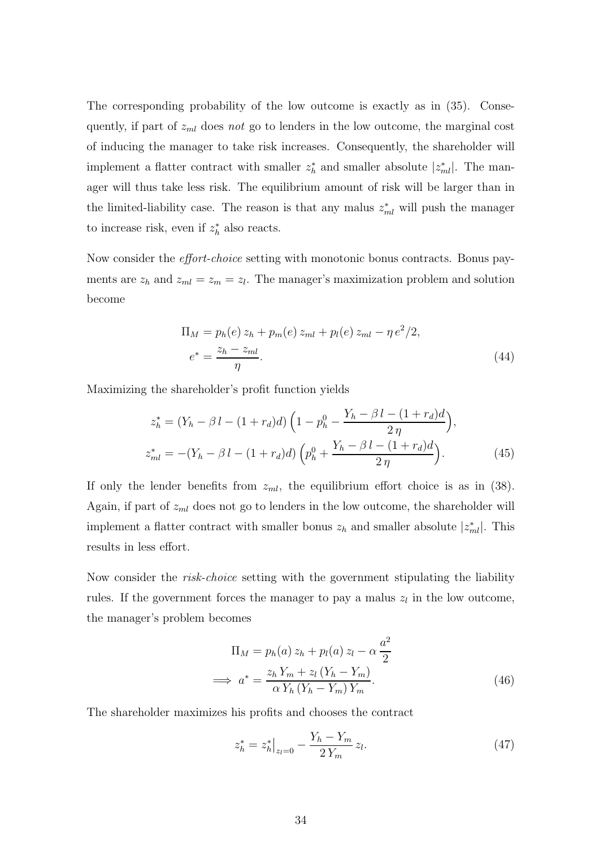The corresponding probability of the low outcome is exactly as in (35). Consequently, if part of  $z_{ml}$  does not go to lenders in the low outcome, the marginal cost of inducing the manager to take risk increases. Consequently, the shareholder will implement a flatter contract with smaller  $z_h^*$  $\frac{k}{h}$  and smaller absolute  $|z^*_{ml}|$ . The manager will thus take less risk. The equilibrium amount of risk will be larger than in the limited-liability case. The reason is that any malus  $z_{ml}^*$  will push the manager to increase risk, even if  $z_h^*$  $\frac{k}{h}$  also reacts.

Now consider the effort-choice setting with monotonic bonus contracts. Bonus payments are  $z_h$  and  $z_{ml} = z_m = z_l$ . The manager's maximization problem and solution become

$$
\Pi_M = p_h(e) z_h + p_m(e) z_{ml} + p_l(e) z_{ml} - \eta e^2 / 2,
$$
  
\n
$$
e^* = \frac{z_h - z_{ml}}{\eta}.
$$
\n(44)

Maximizing the shareholder's profit function yields

$$
z_h^* = (Y_h - \beta l - (1 + r_d)d) \left(1 - p_h^0 - \frac{Y_h - \beta l - (1 + r_d)d}{2\eta}\right),
$$
  
\n
$$
z_{ml}^* = -(Y_h - \beta l - (1 + r_d)d) \left(p_h^0 + \frac{Y_h - \beta l - (1 + r_d)d}{2\eta}\right).
$$
\n(45)

If only the lender benefits from  $z_{ml}$ , the equilibrium effort choice is as in (38). Again, if part of  $z_{ml}$  does not go to lenders in the low outcome, the shareholder will implement a flatter contract with smaller bonus  $z_h$  and smaller absolute  $|z_{ml}^*|$ . This results in less effort.

Now consider the risk-choice setting with the government stipulating the liability rules. If the government forces the manager to pay a malus  $z_l$  in the low outcome, the manager's problem becomes

$$
\Pi_M = p_h(a) z_h + p_l(a) z_l - \alpha \frac{a^2}{2}
$$
\n
$$
\implies a^* = \frac{z_h Y_m + z_l (Y_h - Y_m)}{\alpha Y_h (Y_h - Y_m) Y_m}.
$$
\n(46)

The shareholder maximizes his profits and chooses the contract

$$
z_h^* = z_h^* \big|_{z_l = 0} - \frac{Y_h - Y_m}{2 Y_m} z_l. \tag{47}
$$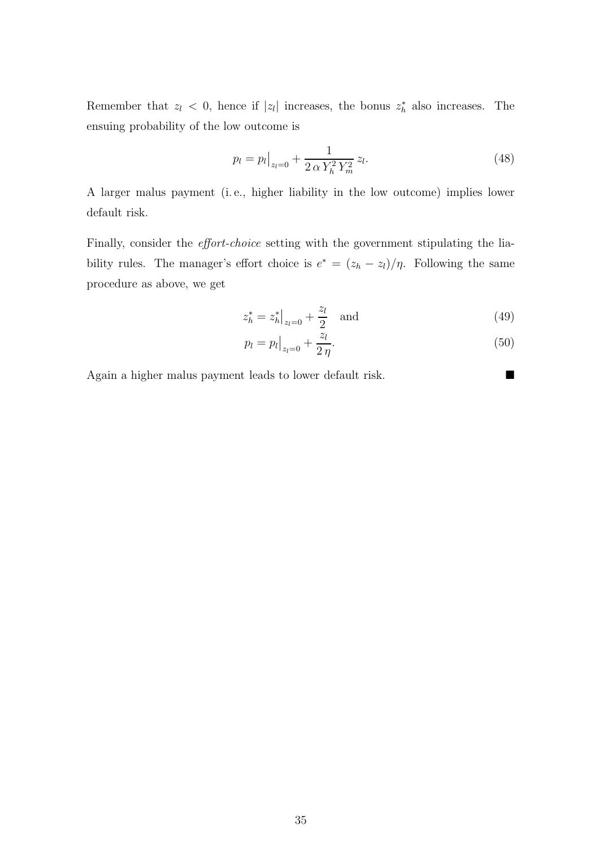Remember that  $z_l \leq 0$ , hence if  $|z_l|$  increases, the bonus  $z_h^*$  $\frac{k}{h}$  also increases. The ensuing probability of the low outcome is

$$
p_l = p_l|_{z_l=0} + \frac{1}{2 \alpha Y_h^2 Y_m^2} z_l.
$$
\n(48)

A larger malus payment (i. e., higher liability in the low outcome) implies lower default risk.

Finally, consider the effort-choice setting with the government stipulating the liability rules. The manager's effort choice is  $e^* = (z_h - z_l)/\eta$ . Following the same procedure as above, we get

$$
z_h^* = z_h^* \big|_{z_l = 0} + \frac{z_l}{2} \quad \text{and} \tag{49}
$$

$$
p_l = p_l|_{z_l = 0} + \frac{z_l}{2\eta}.
$$
\n(50)

Again a higher malus payment leads to lower default risk.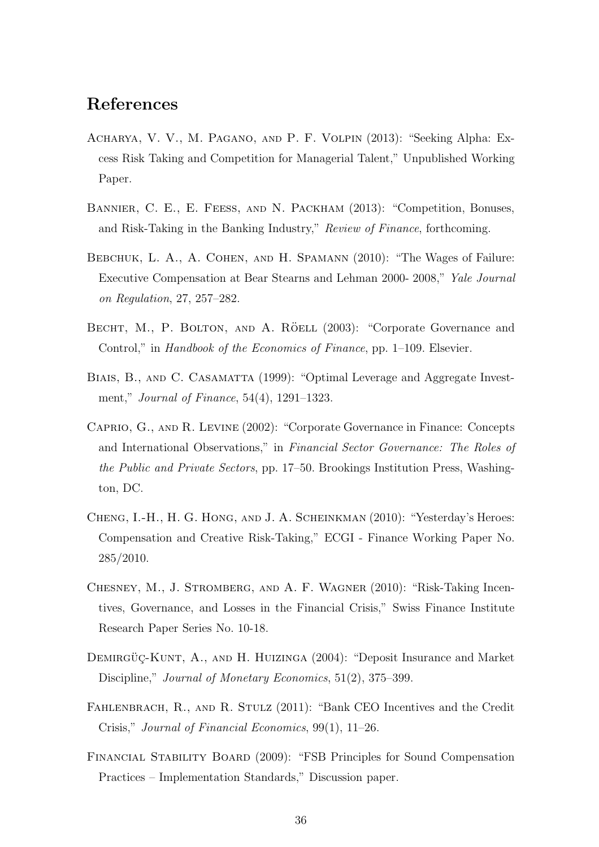### References

- Acharya, V. V., M. Pagano, and P. F. Volpin (2013): "Seeking Alpha: Excess Risk Taking and Competition for Managerial Talent," Unpublished Working Paper.
- BANNIER, C. E., E. FEESS, AND N. PACKHAM (2013): "Competition, Bonuses, and Risk-Taking in the Banking Industry," Review of Finance, forthcoming.
- BEBCHUK, L. A., A. COHEN, AND H. SPAMANN (2010): "The Wages of Failure: Executive Compensation at Bear Stearns and Lehman 2000- 2008," Yale Journal on Regulation, 27, 257–282.
- BECHT, M., P. BOLTON, AND A. RÖELL (2003): "Corporate Governance and Control," in Handbook of the Economics of Finance, pp. 1–109. Elsevier.
- Biais, B., and C. Casamatta (1999): "Optimal Leverage and Aggregate Investment," Journal of Finance, 54(4), 1291–1323.
- Caprio, G., and R. Levine (2002): "Corporate Governance in Finance: Concepts and International Observations," in Financial Sector Governance: The Roles of the Public and Private Sectors, pp. 17–50. Brookings Institution Press, Washington, DC.
- Cheng, I.-H., H. G. Hong, and J. A. Scheinkman (2010): "Yesterday's Heroes: Compensation and Creative Risk-Taking," ECGI - Finance Working Paper No. 285/2010.
- Chesney, M., J. Stromberg, and A. F. Wagner (2010): "Risk-Taking Incentives, Governance, and Losses in the Financial Crisis," Swiss Finance Institute Research Paper Series No. 10-18.
- DEMIRGÜC-KUNT, A., AND H. HUIZINGA (2004): "Deposit Insurance and Market Discipline," Journal of Monetary Economics, 51(2), 375–399.
- FAHLENBRACH, R., AND R. STULZ (2011): "Bank CEO Incentives and the Credit Crisis," Journal of Financial Economics, 99(1), 11–26.
- Financial Stability Board (2009): "FSB Principles for Sound Compensation Practices – Implementation Standards," Discussion paper.